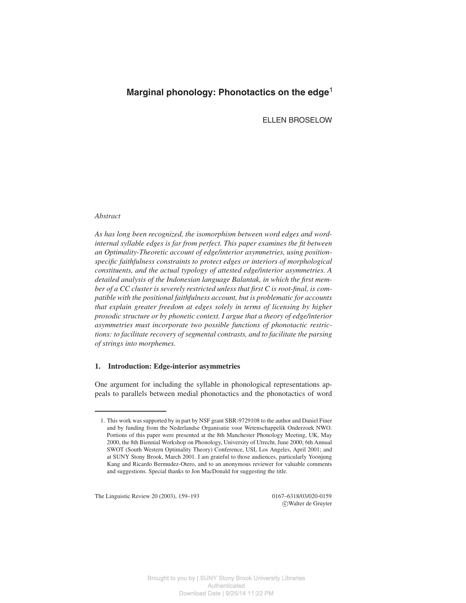# **Marginal phonology: Phonotactics on the edge**<sup>1</sup>

ELLEN BROSELOW

## *Abstract*

*As has long been recognized, the isomorphism between word edges and wordinternal syllable edges is far from perfect. This paper examines the fit between an Optimality-Theoretic account of edge/interior asymmetries, using positionspecific faithfulness constraints to protect edges or interiors of morphological constituents, and the actual typology of attested edge/interior asymmetries. A detailed analysis of the Indonesian language Balantak, in which the first member of a CC cluster is severely restricted unless that first C is root-final, is compatible with the positional faithfulness account, but is problematic for accounts that explain greater freedom at edges solely in terms of licensing by higher prosodic structure or by phonetic context. I argue that a theory of edge/interior asymmetries must incorporate two possible functions of phonotactic restrictions: to facilitate recovery of segmental contrasts, and to facilitate the parsing of strings into morphemes.*

## **1. Introduction: Edge-interior asymmetries**

One argument for including the syllable in phonological representations appeals to parallels between medial phonotactics and the phonotactics of word

The Linguistic Review 20 (2003), 159–193 0167–6318/03/020-0159

c Walter de Gruyter

<sup>1.</sup> This work was supported by in part by NSF grant SBR-9729108 to the author and Daniel Finer and by funding from the Nederlandse Organisatie voor Wetenschappelik Onderzoek NWO. Portions of this paper were presented at the 8th Manchester Phonology Meeting, UK, May 2000, the 8th Biennial Workshop on Phonology, University of Utrecht, June 2000; 6th Annual SWOT (South Western Optimality Theory) Conference, USL Los Angeles, April 2001; and at SUNY Stony Brook, March 2001. I am grateful to those audiences, particularly Yoonjung Kang and Ricardo Bermudez-Otero, and to an anonymous reviewer for valuable comments and suggestions. Special thanks to Jon MacDonald for suggesting the title.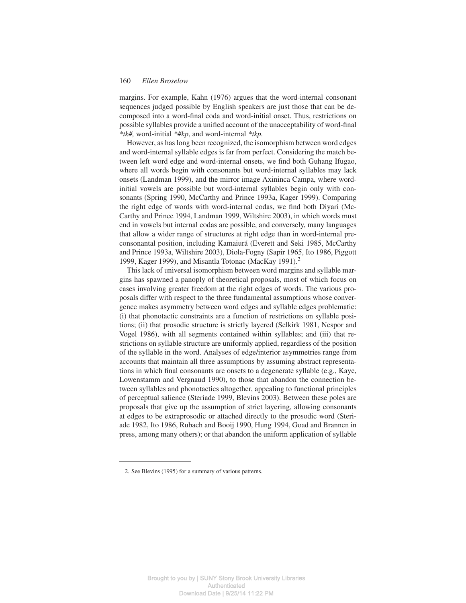margins. For example, Kahn (1976) argues that the word-internal consonant sequences judged possible by English speakers are just those that can be decomposed into a word-final coda and word-initial onset. Thus, restrictions on possible syllables provide a unified account of the unacceptability of word-final *\*tk#,* word-initial *\*#kp*, and word-internal *\*tkp.*

However, as has long been recognized, the isomorphism between word edges and word-internal syllable edges is far from perfect. Considering the match between left word edge and word-internal onsets, we find both Guhang Ifugao, where all words begin with consonants but word-internal syllables may lack onsets (Landman 1999), and the mirror image Axininca Campa, where wordinitial vowels are possible but word-internal syllables begin only with consonants (Spring 1990, McCarthy and Prince 1993a, Kager 1999). Comparing the right edge of words with word-internal codas, we find both Diyari (Mc-Carthy and Prince 1994, Landman 1999, Wiltshire 2003), in which words must end in vowels but internal codas are possible, and conversely, many languages that allow a wider range of structures at right edge than in word-internal preconsonantal position, including Kamaiurá (Everett and Seki 1985, McCarthy and Prince 1993a, Wiltshire 2003), Diola-Fogny (Sapir 1965, Ito 1986, Piggott 1999, Kager 1999), and Misantla Totonac (MacKay 1991).<sup>2</sup>

This lack of universal isomorphism between word margins and syllable margins has spawned a panoply of theoretical proposals, most of which focus on cases involving greater freedom at the right edges of words. The various proposals differ with respect to the three fundamental assumptions whose convergence makes asymmetry between word edges and syllable edges problematic: (i) that phonotactic constraints are a function of restrictions on syllable positions; (ii) that prosodic structure is strictly layered (Selkirk 1981, Nespor and Vogel 1986), with all segments contained within syllables; and (iii) that restrictions on syllable structure are uniformly applied, regardless of the position of the syllable in the word. Analyses of edge/interior asymmetries range from accounts that maintain all three assumptions by assuming abstract representations in which final consonants are onsets to a degenerate syllable (e.g., Kaye, Lowenstamm and Vergnaud 1990), to those that abandon the connection between syllables and phonotactics altogether, appealing to functional principles of perceptual salience (Steriade 1999, Blevins 2003). Between these poles are proposals that give up the assumption of strict layering, allowing consonants at edges to be extraprosodic or attached directly to the prosodic word (Steriade 1982, Ito 1986, Rubach and Booij 1990, Hung 1994, Goad and Brannen in press, among many others); or that abandon the uniform application of syllable

<sup>2.</sup> See Blevins (1995) for a summary of various patterns.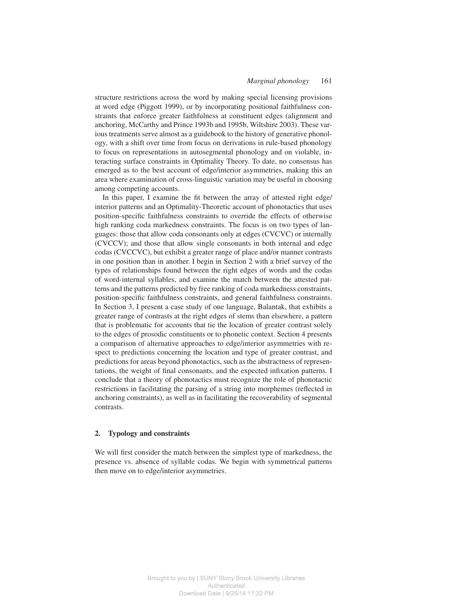structure restrictions across the word by making special licensing provisions at word edge (Piggott 1999), or by incorporating positional faithfulness constraints that enforce greater faithfulness at constituent edges (alignment and anchoring, McCarthy and Prince 1993b and 1995b, Wiltshire 2003). These various treatments serve almost as a guidebook to the history of generative phonology, with a shift over time from focus on derivations in rule-based phonology to focus on representations in autosegmental phonology and on violable, interacting surface constraints in Optimality Theory. To date, no consensus has emerged as to the best account of edge/interior asymmetries, making this an area where examination of cross-linguistic variation may be useful in choosing among competing accounts.

In this paper, I examine the fit between the array of attested right edge/ interior patterns and an Optimality-Theoretic account of phonotactics that uses position-specific faithfulness constraints to override the effects of otherwise high ranking coda markedness constraints. The focus is on two types of languages: those that allow coda consonants only at edges (CVCVC) or internally (CVCCV); and those that allow single consonants in both internal and edge codas (CVCCVC), but exhibit a greater range of place and/or manner contrasts in one position than in another. I begin in Section 2 with a brief survey of the types of relationships found between the right edges of words and the codas of word-internal syllables, and examine the match between the attested patterns and the patterns predicted by free ranking of coda markedness constraints, position-specific faithfulness constraints, and general faithfulness constraints. In Section 3, I present a case study of one language, Balantak, that exhibits a greater range of contrasts at the right edges of stems than elsewhere, a pattern that is problematic for accounts that tie the location of greater contrast solely to the edges of prosodic constituents or to phonetic context. Section 4 presents a comparison of alternative approaches to edge/interior asymmetries with respect to predictions concerning the location and type of greater contrast, and predictions for areas beyond phonotactics, such as the abstractness of representations, the weight of final consonants, and the expected infixation patterns. I conclude that a theory of phonotactics must recognize the role of phonotactic restrictions in facilitating the parsing of a string into morphemes (reflected in anchoring constraints), as well as in facilitating the recoverability of segmental contrasts.

#### **2. Typology and constraints**

We will first consider the match between the simplest type of markedness, the presence vs. absence of syllable codas. We begin with symmetrical patterns then move on to edge/interior asymmetries.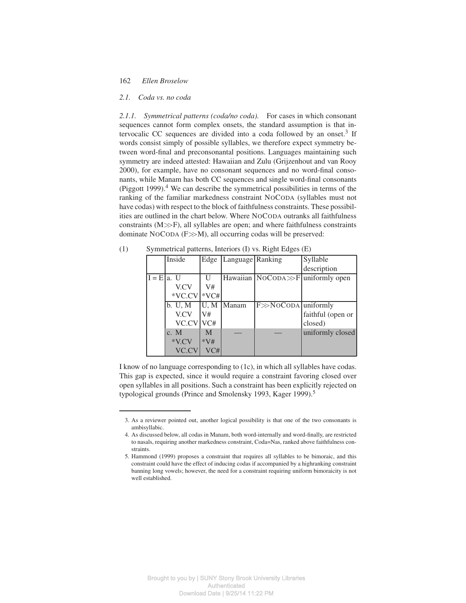## *2.1. Coda vs. no coda*

*2.1.1. Symmetrical patterns (coda/no coda).* For cases in which consonant sequences cannot form complex onsets, the standard assumption is that intervocalic CC sequences are divided into a coda followed by an onset. $3$  If words consist simply of possible syllables, we therefore expect symmetry between word-final and preconsonantal positions. Languages maintaining such symmetry are indeed attested: Hawaiian and Zulu (Grijzenhout and van Rooy 2000), for example, have no consonant sequences and no word-final consonants, while Manam has both CC sequences and single word-final consonants (Piggott 1999).<sup>4</sup> We can describe the symmetrical possibilities in terms of the ranking of the familiar markedness constraint NOCODA (syllables must not have codas) with respect to the block of faithfulness constraints. These possibilities are outlined in the chart below. Where NOCODA outranks all faithfulness constraints  $(M \gg F)$ , all syllables are open; and where faithfulness constraints dominate NOCODA (F>>M), all occurring codas will be preserved:

|         | $\beta$ , miniciricar patterno, micrioro (1) 10. Right Bageo (1) |        |                           |                          |                                                        |  |  |  |  |
|---------|------------------------------------------------------------------|--------|---------------------------|--------------------------|--------------------------------------------------------|--|--|--|--|
|         | Inside                                                           |        | Edge   Language   Ranking |                          | Syllable                                               |  |  |  |  |
|         |                                                                  |        |                           |                          | description                                            |  |  |  |  |
| $I = E$ | a. U                                                             | U      |                           |                          | Hawaiian $\vert$ NOCODA $\gg$ F $\vert$ uniformly open |  |  |  |  |
|         | V.CV                                                             | V#     |                           |                          |                                                        |  |  |  |  |
|         | *VC.CV                                                           | $*VC#$ |                           |                          |                                                        |  |  |  |  |
|         | b. U, M                                                          | U, M   | Manam                     | $F \gg NOCODA$ uniformly |                                                        |  |  |  |  |
|         | V.CV                                                             | V#     |                           |                          | faithful (open or                                      |  |  |  |  |
|         | VC.CV                                                            | VC#    |                           |                          | closed)                                                |  |  |  |  |
|         | c. M                                                             | M      |                           |                          | uniformly closed                                       |  |  |  |  |
|         | *V.CV                                                            | $*V#$  |                           |                          |                                                        |  |  |  |  |
|         | VC.CV                                                            | VC#    |                           |                          |                                                        |  |  |  |  |

(1) Symmetrical patterns, Interiors (I) vs. Right Edges (E)

I know of no language corresponding to (1c), in which all syllables have codas. This gap is expected, since it would require a constraint favoring closed over open syllables in all positions. Such a constraint has been explicitly rejected on typological grounds (Prince and Smolensky 1993, Kager 1999).<sup>5</sup>

<sup>3.</sup> As a reviewer pointed out, another logical possibility is that one of the two consonants is ambisyllabic.

<sup>4.</sup> As discussed below, all codas in Manam, both word-internally and word-finally, are restricted to nasals, requiring another markedness constraint, Coda=Nas, ranked above faithfulness constraints.

<sup>5.</sup> Hammond (1999) proposes a constraint that requires all syllables to be bimoraic, and this constraint could have the effect of inducing codas if accompanied by a highranking constraint banning long vowels; however, the need for a constraint requiring uniform bimoraicity is not well established.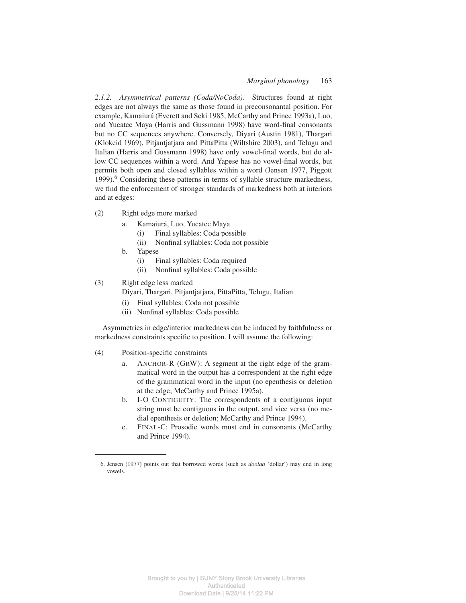*2.1.2. Asymmetrical patterns (Coda/NoCoda).* Structures found at right edges are not always the same as those found in preconsonantal position. For example, Kamaiurá (Everett and Seki 1985, McCarthy and Prince 1993a), Luo, and Yucatec Maya (Harris and Gussmann 1998) have word-final consonants but no CC sequences anywhere. Conversely, Diyari (Austin 1981), Thargari (Klokeid 1969), Pitjantjatjara and PittaPitta (Wiltshire 2003), and Telugu and Italian (Harris and Gussmann 1998) have only vowel-final words, but do allow CC sequences within a word. And Yapese has no vowel-final words, but permits both open and closed syllables within a word (Jensen 1977, Piggott 1999).<sup>6</sup> Considering these patterns in terms of syllable structure markedness, we find the enforcement of stronger standards of markedness both at interiors and at edges:

- (2) Right edge more marked
	- a. Kamaiurá, Luo, Yucatec Maya
		- (i) Final syllables: Coda possible
		- (ii) Nonfinal syllables: Coda not possible
	- b. Yapese
		- (i) Final syllables: Coda required
		- (ii) Nonfinal syllables: Coda possible

## (3) Right edge less marked

Diyari, Thargari, Pitjantjatjara, PittaPitta, Telugu, Italian

- (i) Final syllables: Coda not possible
- (ii) Nonfinal syllables: Coda possible

Asymmetries in edge/interior markedness can be induced by faithfulness or markedness constraints specific to position. I will assume the following:

(4) Position-specific constraints

- a. ANCHOR-R (GRW): A segment at the right edge of the grammatical word in the output has a correspondent at the right edge of the grammatical word in the input (no epenthesis or deletion at the edge; McCarthy and Prince 1995a).
- b. I-O CONTIGUITY: The correspondents of a contiguous input string must be contiguous in the output, and vice versa (no medial epenthesis or deletion; McCarthy and Prince 1994).
- c. FINAL-C: Prosodic words must end in consonants (McCarthy and Prince 1994).

<sup>6.</sup> Jensen (1977) points out that borrowed words (such as *doolaa* 'dollar') may end in long vowels.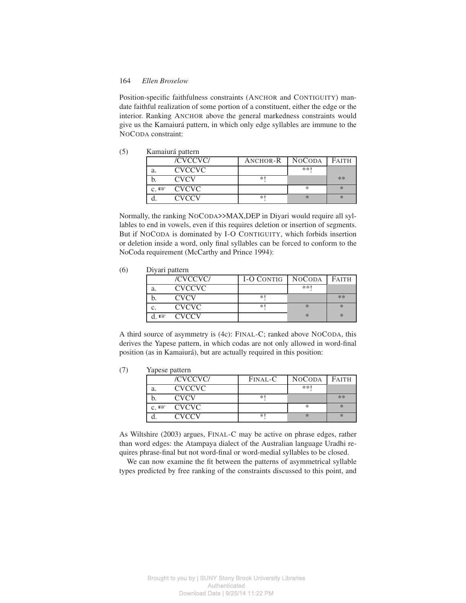Position-specific faithfulness constraints (ANCHOR and CONTIGUITY) mandate faithful realization of some portion of a constituent, either the edge or the interior. Ranking ANCHOR above the general markedness constraints would give us the Kamaiurá pattern, in which only edge syllables are immune to the NOCODA constraint:

(5) Kamaiurá pattern

|           | /CVCCVC/      | ANCHOR-R  | <b>NOCODA</b> | <b>FAITH</b> |
|-----------|---------------|-----------|---------------|--------------|
|           | <b>CVCCVC</b> |           | **            |              |
|           | <b>CVCV</b>   | $^{\ast}$ |               | **           |
| $C.$ $R\$ | CVCVC         |           | ∗             |              |
|           | CVCCV         | *         |               |              |

Normally, the ranking NOCODA>>MAX,DEP in Diyari would require all syllables to end in vowels, even if this requires deletion or insertion of segments. But if NOCODA is dominated by I-O CONTIGUITY, which forbids insertion or deletion inside a word, only final syllables can be forced to conform to the NoCoda requirement (McCarthy and Prince 1994):

(6) Diyari pattern

|       | /CVCCVC/      | <b>I-O CONTIG   NOCODA</b> |        | <b>FAITH</b> |
|-------|---------------|----------------------------|--------|--------------|
|       | <b>CVCCVC</b> |                            | $**1$  |              |
|       | <b>CVCV</b>   | *1                         |        | **           |
|       | <b>CVCVC</b>  | $*$                        |        | ∗            |
| ժ nas | <b>CVCCV</b>  |                            | $\ast$ | ∗            |

A third source of asymmetry is (4c): FINAL-C; ranked above NOCODA, this derives the Yapese pattern, in which codas are not only allowed in word-final position (as in Kamaiurá), but are actually required in this position:

| rapese pattern |               |         |               |              |
|----------------|---------------|---------|---------------|--------------|
|                | /CVCCVC/      | FINAL-C | <b>NOCODA</b> | <b>FAITH</b> |
| а.             | <b>CVCCVC</b> |         | $**1$         |              |
|                | <b>CVCV</b>   | *       |               | $**$         |
| $C.$ $R\$      | CVCVC         |         | ∗             | $\ast$       |
|                | <b>CVCCV</b>  | *       | ∗             | ∗            |

(7) Yapese pattern

As Wiltshire (2003) argues, FINAL-C may be active on phrase edges, rather than word edges: the Atampaya dialect of the Australian language Uradhi requires phrase-final but not word-final or word-medial syllables to be closed.

We can now examine the fit between the patterns of asymmetrical syllable types predicted by free ranking of the constraints discussed to this point, and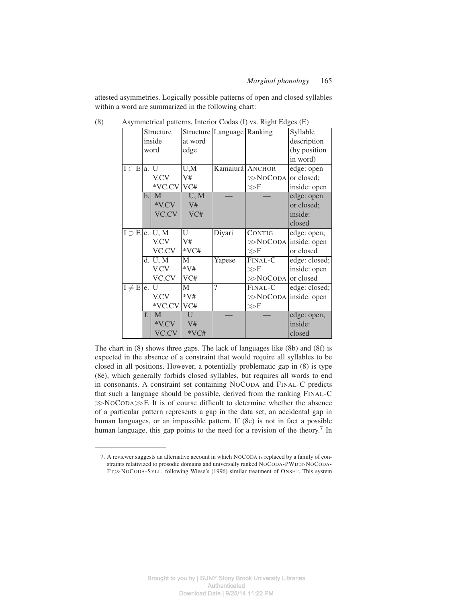attested asymmetries. Logically possible patterns of open and closed syllables within a word are summarized in the following chart:

|                    | Structure      |            |         | Structure Language Ranking |                           | Syllable      |
|--------------------|----------------|------------|---------|----------------------------|---------------------------|---------------|
|                    |                | inside     | at word |                            |                           | description   |
|                    |                | word       | edge    |                            |                           | (by position  |
|                    |                |            |         |                            |                           | in word)      |
| $I \subset E$ a. U |                |            | U.M     | Kamaiurá ANCHOR            |                           | edge: open    |
|                    |                | V.CV       | V#      |                            | $\gg$ NoCoda              | or closed;    |
|                    |                | *VC.CV VC# |         |                            | $\gg F$                   | inside: open  |
|                    | $\mathbf{b}$ . | M          | U, M    |                            |                           | edge: open    |
|                    |                | $*V$ .CV   | V#      |                            |                           | or closed;    |
|                    |                | VC.CV      | VC#     |                            |                           | inside:       |
|                    |                |            |         |                            |                           | closed        |
| $I \supset E$      |                | c. U, M    | U       | Diyari                     | CONTIG                    | edge: open;   |
|                    |                | V.CV       | V#      |                            | $\gg$ NOCODA inside: open |               |
|                    |                | VC.CV      | $*VC#$  |                            | $>\!\!>\!\!F$             | or closed     |
|                    |                | d. U, M    | M       | Yapese                     | FINAL-C                   | edge: closed; |
|                    |                | V.CV       | $*V#$   |                            | $\gg F$                   | inside: open  |
|                    |                | VC.CV      | VC#     |                            | $\gg$ NOCODA              | or closed     |
| $I \neq E$         | e. U           |            | M       | $\gamma$                   | FINAL-C                   | edge: closed; |
|                    |                | V.CV       | $*V#$   |                            | $\gg$ NOCODA inside: open |               |
|                    |                | *VC.CV VC# |         |                            | $\gg F$                   |               |
|                    | f.             | M          | U       |                            |                           | edge: open;   |
|                    |                | *V.CV      | V#      |                            |                           | inside:       |
|                    |                | VC.CV      | $*VC#$  |                            |                           | closed        |

(8) Asymmetrical patterns, Interior Codas (I) vs. Right Edges (E)

The chart in (8) shows three gaps. The lack of languages like (8b) and (8f) is expected in the absence of a constraint that would require all syllables to be closed in all positions. However, a potentially problematic gap in (8) is type (8e), which generally forbids closed syllables, but requires all words to end in consonants. A constraint set containing NOCODA and FINAL-C predicts that such a language should be possible, derived from the ranking FINAL-C >>NOCODA>>F. It is of course difficult to determine whether the absence of a particular pattern represents a gap in the data set, an accidental gap in human languages, or an impossible pattern. If (8e) is not in fact a possible human language, this gap points to the need for a revision of the theory.<sup>7</sup> In

<sup>7.</sup> A reviewer suggests an alternative account in which NOCODA is replaced by a family of constraints relativized to prosodic domains and universally ranked NOCODA-PWD $\gg$ NOCODA-FT>>NOCODA-SYLL, following Wiese's (1996) similar treatment of ONSET. This system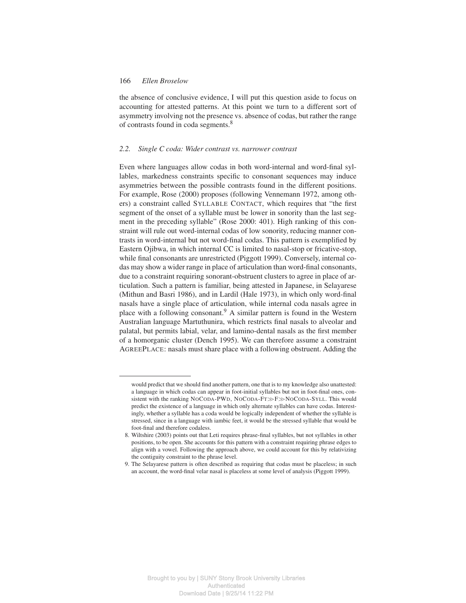the absence of conclusive evidence, I will put this question aside to focus on accounting for attested patterns. At this point we turn to a different sort of asymmetry involving not the presence vs. absence of codas, but rather the range of contrasts found in coda segments.<sup>8</sup>

#### *2.2. Single C coda: Wider contrast vs. narrower contrast*

Even where languages allow codas in both word-internal and word-final syllables, markedness constraints specific to consonant sequences may induce asymmetries between the possible contrasts found in the different positions. For example, Rose (2000) proposes (following Vennemann 1972, among others) a constraint called SYLLABLE CONTACT, which requires that "the first segment of the onset of a syllable must be lower in sonority than the last segment in the preceding syllable" (Rose 2000: 401). High ranking of this constraint will rule out word-internal codas of low sonority, reducing manner contrasts in word-internal but not word-final codas. This pattern is exemplified by Eastern Ojibwa, in which internal CC is limited to nasal-stop or fricative-stop, while final consonants are unrestricted (Piggott 1999). Conversely, internal codas may show a wider range in place of articulation than word-final consonants, due to a constraint requiring sonorant-obstruent clusters to agree in place of articulation. Such a pattern is familiar, being attested in Japanese, in Selayarese (Mithun and Basri 1986), and in Lardil (Hale 1973), in which only word-final nasals have a single place of articulation, while internal coda nasals agree in place with a following consonant.<sup>9</sup> A similar pattern is found in the Western Australian language Martuthunira, which restricts final nasals to alveolar and palatal, but permits labial, velar, and lamino-dental nasals as the first member of a homorganic cluster (Dench 1995). We can therefore assume a constraint AGREEPLACE: nasals must share place with a following obstruent. Adding the

would predict that we should find another pattern, one that is to my knowledge also unattested: a language in which codas can appear in foot-initial syllables but not in foot-final ones, consistent with the ranking NOCODA-PWD, NOCODA-FT $\gg$ F $\gg$ NOCODA-SYLL. This would predict the existence of a language in which only alternate syllables can have codas. Interestingly, whether a syllable has a coda would be logically independent of whether the syllable is stressed, since in a language with iambic feet, it would be the stressed syllable that would be foot-final and therefore codaless.

<sup>8.</sup> Wiltshire (2003) points out that Leti requires phrase-final syllables, but not syllables in other positions, to be open. She accounts for this pattern with a constraint requiring phrase edges to align with a vowel. Following the approach above, we could account for this by relativizing the contiguity constraint to the phrase level.

<sup>9.</sup> The Selayarese pattern is often described as requiring that codas must be placeless; in such an account, the word-final velar nasal is placeless at some level of analysis (Piggott 1999).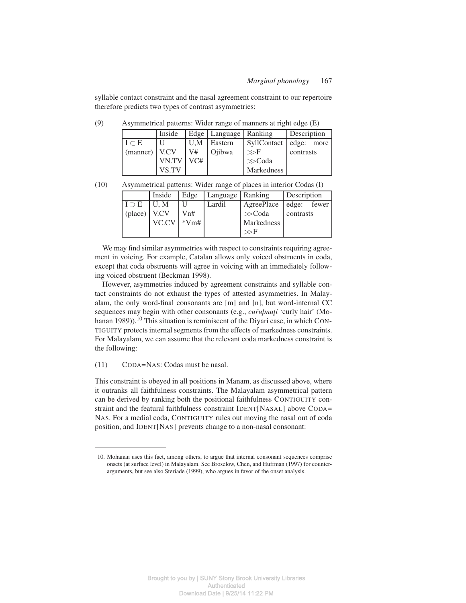syllable contact constraint and the nasal agreement constraint to our repertoire therefore predicts two types of contrast asymmetries:

| $\alpha$ is summon particular and the subset of manifestration of $\alpha$ |           |     |                           |            |                        |  |
|----------------------------------------------------------------------------|-----------|-----|---------------------------|------------|------------------------|--|
|                                                                            | Inside    |     | Edge   Language   Ranking |            | Description            |  |
| $I \subset E$                                                              |           | U.M | Eastern                   |            | SyllContact edge: more |  |
| (manner)                                                                   | V.CV      | V#  | Ojibwa                    | $\gg F$    | contrasts              |  |
|                                                                            | VN.TV VC# |     |                           | $\gg$ Coda |                        |  |
|                                                                            | VS.TV     |     |                           | Markedness |                        |  |

(9) Asymmetrical patterns: Wider range of manners at right edge (E)

| (10) | Asymmetrical patterns: Wider range of places in interior Codas (I) |  |  |  |  |
|------|--------------------------------------------------------------------|--|--|--|--|
|      |                                                                    |  |  |  |  |

|               | Inside | Edge   | Language   Ranking |            | Description |
|---------------|--------|--------|--------------------|------------|-------------|
| $I \supset E$ | U.M    |        | Lardil             | AgreePlace | edge: fewer |
| (place)       | V.CV   | Vn#    |                    | $\gg$ Coda | contrasts   |
|               | VC.CV  | $*Vm#$ |                    | Markedness |             |
|               |        |        |                    | $\gg F$    |             |

We may find similar asymmetries with respect to constraints requiring agreement in voicing. For example, Catalan allows only voiced obstruents in coda, except that coda obstruents will agree in voicing with an immediately following voiced obstruent (Beckman 1998).

However, asymmetries induced by agreement constraints and syllable contact constraints do not exhaust the types of attested asymmetries. In Malayalam, the only word-final consonants are [m] and [n], but word-internal CC sequences may begin with other consonants (e.g., *cuřuĮmuți* 'curly hair' (Mohanan 1989)).<sup>10</sup> This situation is reminiscent of the Diyari case, in which CON-TIGUITY protects internal segments from the effects of markedness constraints. For Malayalam, we can assume that the relevant coda markedness constraint is the following:

## (11) CODA=NAS: Codas must be nasal.

This constraint is obeyed in all positions in Manam, as discussed above, where it outranks all faithfulness constraints. The Malayalam asymmetrical pattern can be derived by ranking both the positional faithfulness CONTIGUITY constraint and the featural faithfulness constraint IDENT[NASAL] above CODA= NAS. For a medial coda, CONTIGUITY rules out moving the nasal out of coda position, and IDENT[NAS] prevents change to a non-nasal consonant:

<sup>10.</sup> Mohanan uses this fact, among others, to argue that internal consonant sequences comprise onsets (at surface level) in Malayalam. See Broselow, Chen, and Huffman (1997) for counterarguments, but see also Steriade (1999), who argues in favor of the onset analysis.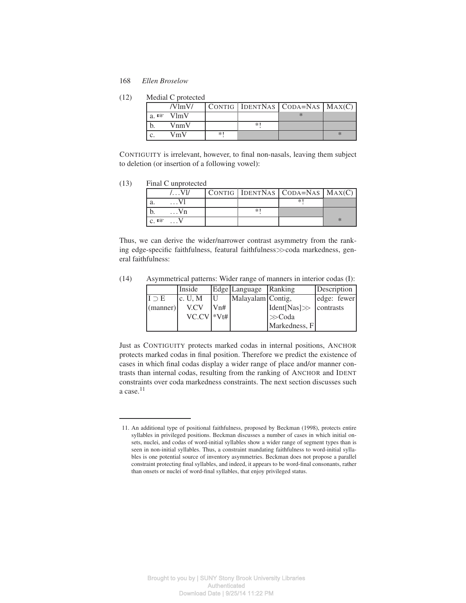#### (12) Medial C protected

| /VlmV/               |      |    | $ $ CONTIG   IDENTNAS $ $ CODA=NAS $ $ MAX(C) $ $ |  |
|----------------------|------|----|---------------------------------------------------|--|
| a. $\mathbb{R}$ VlmV |      |    |                                                   |  |
| VnmV                 |      | *1 |                                                   |  |
| VmV                  | $*1$ |    |                                                   |  |

CONTIGUITY is irrelevant, however, to final non-nasals, leaving them subject to deletion (or insertion of a following vowel):

### (13) Final C unprotected

|                   |  | CONTIG   IDENTNAS   CODA=NAS   MAX(C) |  |
|-------------------|--|---------------------------------------|--|
|                   |  | $\ast$                                |  |
| $\dots$ Vn        |  |                                       |  |
| $C. \n\mathbb{R}$ |  |                                       |  |

Thus, we can derive the wider/narrower contrast asymmetry from the ranking edge-specific faithfulness, featural faithfulness $\gg$ coda markedness, general faithfulness:

| (14) | Asymmetrical patterns: Wider range of manners in interior codas (I): |  |  |  |  |  |  |  |  |
|------|----------------------------------------------------------------------|--|--|--|--|--|--|--|--|
|------|----------------------------------------------------------------------|--|--|--|--|--|--|--|--|

|               | Inside         |     | Edge Language Ranking |                  | Description |
|---------------|----------------|-----|-----------------------|------------------|-------------|
| $I \supset E$ | c. U. M        | U   | Malayalam Contig,     |                  | edge: fewer |
| (manner)      | V.CV           | Vn# |                       | $Ident[Nas] \gg$ | contrasts   |
|               | $VCCV$ * $Vt#$ |     |                       | $\gg$ Coda       |             |
|               |                |     |                       | Markedness, F    |             |

Just as CONTIGUITY protects marked codas in internal positions, ANCHOR protects marked codas in final position. Therefore we predict the existence of cases in which final codas display a wider range of place and/or manner contrasts than internal codas, resulting from the ranking of ANCHOR and IDENT constraints over coda markedness constraints. The next section discusses such a case.<sup>11</sup>

<sup>11.</sup> An additional type of positional faithfulness, proposed by Beckman (1998), protects entire syllables in privileged positions. Beckman discusses a number of cases in which initial onsets, nuclei, and codas of word-initial syllables show a wider range of segment types than is seen in non-initial syllables. Thus, a constraint mandating faithfulness to word-initial syllables is one potential source of inventory asymmetries. Beckman does not propose a parallel constraint protecting final syllables, and indeed, it appears to be word-final consonants, rather than onsets or nuclei of word-final syllables, that enjoy privileged status.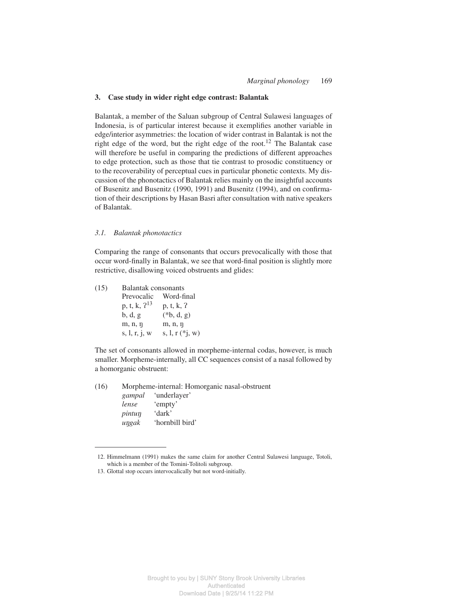#### **3. Case study in wider right edge contrast: Balantak**

Balantak, a member of the Saluan subgroup of Central Sulawesi languages of Indonesia, is of particular interest because it exemplifies another variable in edge/interior asymmetries: the location of wider contrast in Balantak is not the right edge of the word, but the right edge of the root.<sup>12</sup> The Balantak case will therefore be useful in comparing the predictions of different approaches to edge protection, such as those that tie contrast to prosodic constituency or to the recoverability of perceptual cues in particular phonetic contexts. My discussion of the phonotactics of Balantak relies mainly on the insightful accounts of Busenitz and Busenitz (1990, 1991) and Busenitz (1994), and on confirmation of their descriptions by Hasan Basri after consultation with native speakers of Balantak.

### *3.1. Balantak phonotactics*

Comparing the range of consonants that occurs prevocalically with those that occur word-finally in Balantak, we see that word-final position is slightly more restrictive, disallowing voiced obstruents and glides:

(15) Balantak consonants Prevocalic Word-final p, t, k,  $?^{13}$  p, t, k, ? b, d, g  $(*b, d, g)$ m, n, N m, n, N s, l, r, j, w s, l, r  $(*j, w)$ 

The set of consonants allowed in morpheme-internal codas, however, is much smaller. Morpheme-internally, all CC sequences consist of a nasal followed by a homorganic obstruent:

(16) Morpheme-internal: Homorganic nasal-obstruent *gampal* 'underlayer' *lense* 'empty' *pintun* 'dark' *ungak* 'hornbill bird'

<sup>12.</sup> Himmelmann (1991) makes the same claim for another Central Sulawesi language, Totoli, which is a member of the Tomini-Tolitoli subgroup.

<sup>13.</sup> Glottal stop occurs intervocalically but not word-initially.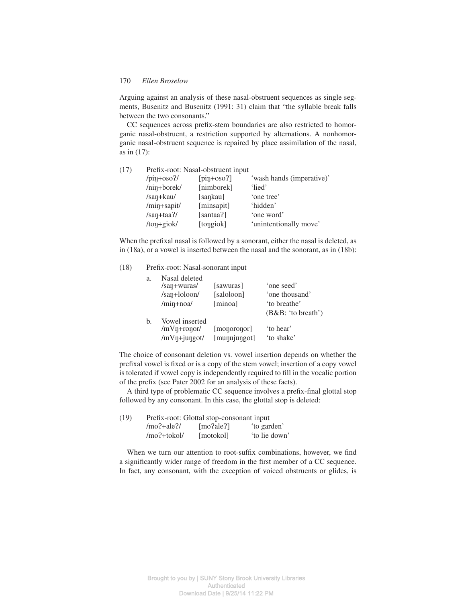Arguing against an analysis of these nasal-obstruent sequences as single segments, Busenitz and Busenitz (1991: 31) claim that "the syllable break falls between the two consonants."

CC sequences across prefix-stem boundaries are also restricted to homorganic nasal-obstruent, a restriction supported by alternations. A nonhomorganic nasal-obstruent sequence is repaired by place assimilation of the nasal, as in (17):

| (17) |                  | Prefix-root: Nasal-obstruent input |                           |
|------|------------------|------------------------------------|---------------------------|
|      | $\pi$ -oso?/     | $\lceil \pi + \cos \theta \rceil$  | 'wash hands (imperative)' |
|      | /nin+borek/      | [nimborek]                         | 'lied'                    |
|      | $/san+kau/$      | [sankau]                           | 'one tree'                |
|      | /min+sapit/      | [minsapit]                         | 'hidden'                  |
|      | $/san + taa?$    | [santaa?]                          | 'one word'                |
|      | $/t$ on+giok $/$ | [tongiok]                          | 'unintentionally move'    |

When the prefixal nasal is followed by a sonorant, either the nasal is deleted, as in (18a), or a vowel is inserted between the nasal and the sonorant, as in (18b):

## (18) Prefix-root: Nasal-sonorant input

| a. | Nasal deleted<br>/san+wuras/<br>$/san+1oloon/$<br>$/min+noa/$      | [sawuras]<br>[saloloon]<br>[minoa] | 'one seed'<br>'one thousand'<br>'to breathe'  |
|----|--------------------------------------------------------------------|------------------------------------|-----------------------------------------------|
| b. | Vowel inserted<br>$/mV\eta + r\omega\rho r$<br>$/mV\eta + jungot/$ | [monoronor]<br>[munujungot]        | (B&B: 'to breath')<br>'to hear'<br>'to shake' |

The choice of consonant deletion vs. vowel insertion depends on whether the prefixal vowel is fixed or is a copy of the stem vowel; insertion of a copy vowel is tolerated if vowel copy is independently required to fill in the vocalic portion of the prefix (see Pater 2002 for an analysis of these facts).

A third type of problematic CC sequence involves a prefix-final glottal stop followed by any consonant. In this case, the glottal stop is deleted:

| (19) | Prefix-root: Glottal stop-consonant input |                               |               |  |
|------|-------------------------------------------|-------------------------------|---------------|--|
|      | $/mol + ale$ ?/                           | $\lceil \text{mo2ale} \rceil$ | 'to garden'   |  |
|      | $/$ mo?+tokol $/$                         | [motokol]                     | 'to lie down' |  |

When we turn our attention to root-suffix combinations, however, we find a significantly wider range of freedom in the first member of a CC sequence. In fact, any consonant, with the exception of voiced obstruents or glides, is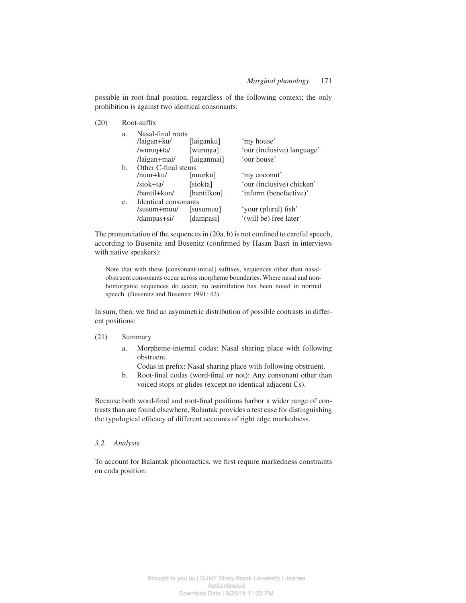possible in root-final position, regardless of the following context; the only prohibition is against two identical consonants:

(20) Root-suffix

| a.             | Nasal-final roots                |             |                            |
|----------------|----------------------------------|-------------|----------------------------|
|                | /laigan+ku/                      | [laiganku]  | 'my house'                 |
|                | /wurun+ta/                       | [wurunta]   | 'our (inclusive) language' |
|                | /laigan+mai/                     | [laiganmai] | 'our house'                |
| b.             | Other C-final stems<br>/nuur+ku/ | [nuurku]    | 'my coconut'               |
|                | $/siok+ta/$                      | [siokta]    | 'our (inclusive) chicken'  |
|                | /bantil+kon/                     | [bantilkon] | 'inform (benefactive)'     |
| $\mathbf{C}$ . | Identical consonants             |             |                            |
|                | /susum+muu/                      | [susumuu]   | 'your (plural) fish'       |
|                | /dampas+si/                      | [dampasi]   | '(will be) free later'     |

The pronunciation of the sequences in (20a, b) is not confined to careful speech, according to Busenitz and Busenitz (confirmed by Hasan Basri in interviews with native speakers):

Note that with these [consonant-initial] suffixes, sequences other than nasalobstruent consonants occur across morpheme boundaries. Where nasal and nonhomorganic sequences do occur, no assimilation has been noted in normal speech. (Busenitz and Busenitz 1991: 42)

In sum, then, we find an asymmetric distribution of possible contrasts in different positions:

#### (21) Summary

- a. Morpheme-internal codas: Nasal sharing place with following obstruent.
	- Codas in prefix: Nasal sharing place with following obstruent.
- b. Root-final codas (word-final or not): Any consonant other than voiced stops or glides (except no identical adjacent Cs).

Because both word-final and root-final positions harbor a wider range of contrasts than are found elsewhere, Balantak provides a test case for distinguishing the typological efficacy of different accounts of right edge markedness.

#### *3.2. Analysis*

To account for Balantak phonotactics, we first require markedness constraints on coda position: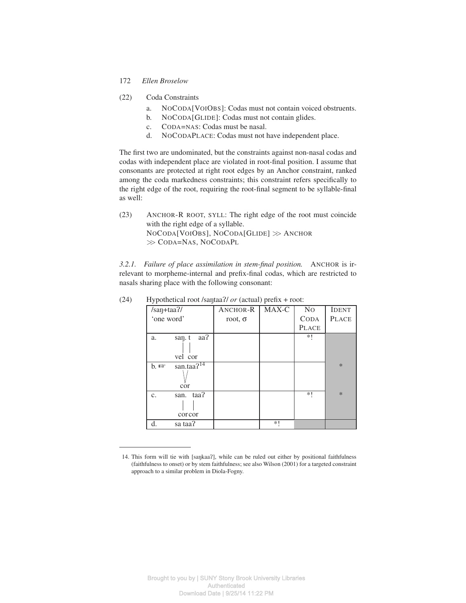- 172 *Ellen Broselow*
- (22) Coda Constraints
	- a. NOCODA[VOIOBS]: Codas must not contain voiced obstruents.
	- b. NOCODA[GLIDE]: Codas must not contain glides.
	- c. CODA=NAS: Codas must be nasal.
	- d. NOCODAPLACE: Codas must not have independent place.

The first two are undominated, but the constraints against non-nasal codas and codas with independent place are violated in root-final position. I assume that consonants are protected at right root edges by an Anchor constraint, ranked among the coda markedness constraints; this constraint refers specifically to the right edge of the root, requiring the root-final segment to be syllable-final as well:

(23) ANCHOR-R ROOT, SYLL: The right edge of the root must coincide with the right edge of a syllable. NOCODA[VOIOBS], NOCODA[GLIDE] >> ANCHOR >> CODA=NAS, NOCODAPL

*3.2.1. Failure of place assimilation in stem-final position.* ANCHOR is irrelevant to morpheme-internal and prefix-final codas, which are restricted to nasals sharing place with the following consonant:

| /san+taa?/                                                       | ANCHOR-R       | MAX-C | N <sub>O</sub> | <b>IDENT</b> |
|------------------------------------------------------------------|----------------|-------|----------------|--------------|
| 'one word'                                                       | root, $\sigma$ |       | <b>CODA</b>    | <b>PLACE</b> |
|                                                                  |                |       | <b>PLACE</b>   |              |
| aa?<br>san. t<br>a.<br>vel cor                                   |                |       | *!             |              |
| san.taa $\overline{a}$ <sup>14</sup><br>$b. \n\mathbb{R}$<br>cor |                |       |                | $*$          |
| san. taa?<br>$\mathbf{c}$ .<br>corcor                            |                |       | *1             | $*$          |
| sa taa?<br>d.                                                    |                | $*$ ( |                |              |

(24) Hypothetical root /santaa?/  $or$  (actual) prefix + root:

<sup>14.</sup> This form will tie with [sankaa?], while can be ruled out either by positional faithfulness (faithfulness to onset) or by stem faithfulness; see also Wilson (2001) for a targeted constraint approach to a similar problem in Diola-Fogny.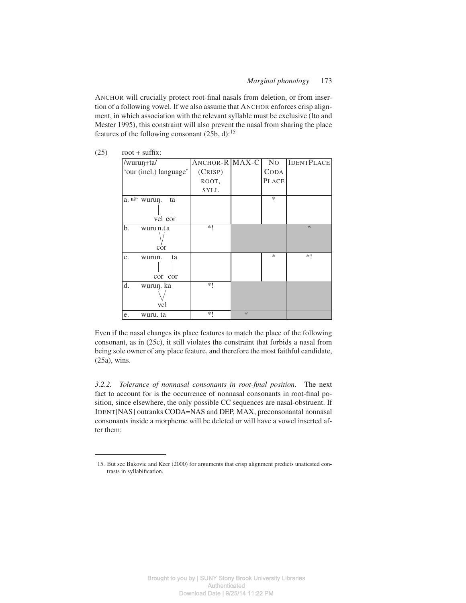ANCHOR will crucially protect root-final nasals from deletion, or from insertion of a following vowel. If we also assume that ANCHOR enforces crisp alignment, in which association with the relevant syllable must be exclusive (Ito and Mester 1995), this constraint will also prevent the nasal from sharing the place features of the following consonant  $(25b, d)$ :<sup>15</sup>

| (25) | root $+$ suffix:                        |                |        |                    |                   |
|------|-----------------------------------------|----------------|--------|--------------------|-------------------|
|      | /wurun+ta/                              | ANCHOR-R MAX-C |        | $\overline{N_{O}}$ | <b>IDENTPLACE</b> |
|      | 'our (incl.) language'                  | (CRISP)        |        | <b>CODA</b>        |                   |
|      |                                         | ROOT,          |        | <b>PLACE</b>       |                   |
|      |                                         | <b>SYLL</b>    |        |                    |                   |
|      | a. $\mathbb{F}$ wurun.<br>ta<br>vel cor |                |        | $\ast$             |                   |
|      | b.<br>wuru n.t a<br>cor                 | $*!$           |        |                    | $\ast$            |
|      | c.<br>wurun.<br>ta<br>cor cor           |                |        | $\ast$             | $*1$              |
|      | d.<br>wurun. ka<br>vel                  | $*1$           |        |                    |                   |
|      | wuru. ta<br>e.                          | $*!$           | $\ast$ |                    |                   |

Even if the nasal changes its place features to match the place of the following consonant, as in (25c), it still violates the constraint that forbids a nasal from being sole owner of any place feature, and therefore the most faithful candidate, (25a), wins.

*3.2.2. Tolerance of nonnasal consonants in root-final position.* The next fact to account for is the occurrence of nonnasal consonants in root-final position, since elsewhere, the only possible CC sequences are nasal-obstruent. If IDENT[NAS] outranks CODA=NAS and DEP, MAX, preconsonantal nonnasal consonants inside a morpheme will be deleted or will have a vowel inserted after them:

<sup>15.</sup> But see Bakovic and Keer (2000) for arguments that crisp alignment predicts unattested contrasts in syllabification.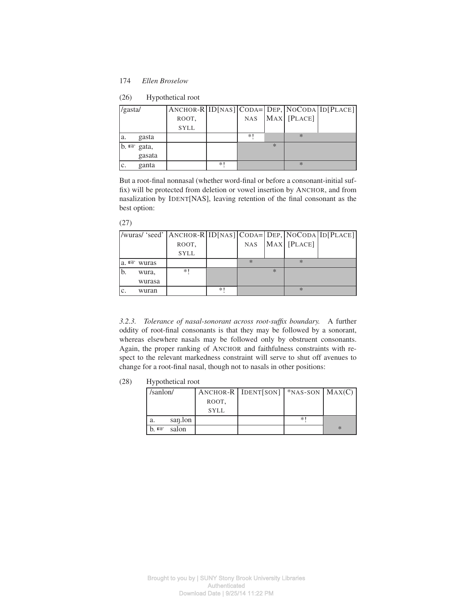| (26)<br>Hypothetical root |
|---------------------------|
|---------------------------|

| /gasta/                 |             |      |            |     |             | $\text{ANCHOR-R}   \text{ID}[\text{NAS}]   \text{CODA} =   \text{DEP},  \text{NoCODA}   \text{ID}[\text{PLACE}]  $ |
|-------------------------|-------------|------|------------|-----|-------------|--------------------------------------------------------------------------------------------------------------------|
|                         | ROOT,       |      | <b>NAS</b> |     | MAX [PLACE] |                                                                                                                    |
|                         | <b>SYLL</b> |      |            |     |             |                                                                                                                    |
| gasta<br>a.             |             |      | $*1$       |     | $\ast$      |                                                                                                                    |
| $h_{\cdot}$<br>gata,    |             |      |            | $*$ |             |                                                                                                                    |
| gasata                  |             |      |            |     |             |                                                                                                                    |
| ganta<br>$\mathbf{c}$ . |             | $*1$ |            |     | $\ast$      |                                                                                                                    |

But a root-final nonnasal (whether word-final or before a consonant-initial suffix) will be protected from deletion or vowel insertion by ANCHOR, and from nasalization by IDENT[NAS], leaving retention of the final consonant as the best option:

| /wuras/ 'seed'   ANCHOR-R   ID[NAS] $ $ CODA=   DEP,   NOCODA   ID[PLACE] |             |    |            |     |             |  |
|---------------------------------------------------------------------------|-------------|----|------------|-----|-------------|--|
|                                                                           | ROOT,       |    | <b>NAS</b> |     | MAX [PLACE] |  |
|                                                                           | <b>SYLL</b> |    |            |     |             |  |
| $a. \n\mathbb{R}$<br>wuras                                                |             |    | $\ast$     |     | $\ast$      |  |
| b.<br>wura,                                                               | *1          |    |            | $*$ |             |  |
| wurasa                                                                    |             |    |            |     |             |  |
| wuran                                                                     |             | *1 |            |     | $\ast$      |  |

*3.2.3. Tolerance of nasal-sonorant across root-suffix boundary.* A further oddity of root-final consonants is that they may be followed by a sonorant, whereas elsewhere nasals may be followed only by obstruent consonants. Again, the proper ranking of ANCHOR and faithfulness constraints with respect to the relevant markedness constraint will serve to shut off avenues to change for a root-final nasal, though not to nasals in other positions:

(28) Hypothetical root

| /sanlon/                   |             | ANCHOR-R   IDENT $[SON]$   *NAS-SON   MAX $(C)$ |      |        |
|----------------------------|-------------|-------------------------------------------------|------|--------|
|                            | ROOT,       |                                                 |      |        |
|                            | <b>SYLL</b> |                                                 |      |        |
| san.lon<br>a.              |             |                                                 | $*1$ |        |
| $h.$ $\mathbb{R}$<br>salon |             |                                                 |      | $\ast$ |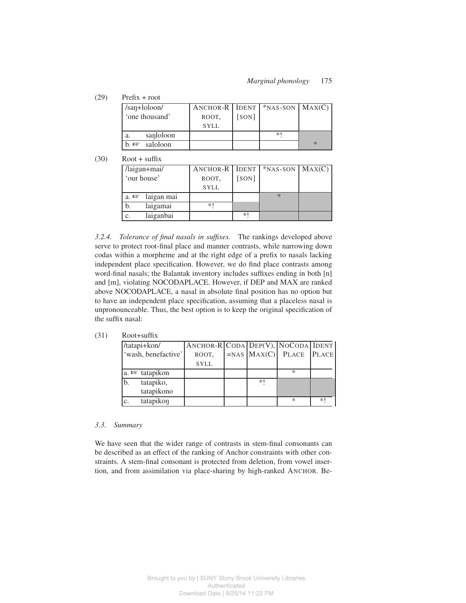$(29)$  Prefix + root

| $/san+1oloon/$<br>'one thousand' | ANCHOR-R   IDENT  <br>ROOT. | [SON] | $*$ NAS-SON   MAX $(C)$ |  |
|----------------------------------|-----------------------------|-------|-------------------------|--|
|                                  | <b>SYLL</b>                 |       |                         |  |
| sanloloon<br>a.                  |                             |       | *1                      |  |
| saloloon<br>h. ne                |                             |       |                         |  |

 $(30)$  Root + suffix

| /laigan+mai/<br>'our house' | ANCHOR-R   IDENT<br>ROOT, | [SON] | $*$ NAS-SON   MAX(C) |  |
|-----------------------------|---------------------------|-------|----------------------|--|
|                             | <b>SYLL</b>               |       |                      |  |
| laigan mai<br>a.            |                           |       | $\ast$               |  |
| b.<br>laigamai              | *'                        |       |                      |  |
| laiganbai<br>$C_{\star}$    |                           | $*!$  |                      |  |

*3.2.4. Tolerance of final nasals in suffixes.* The rankings developed above serve to protect root-final place and manner contrasts, while narrowing down codas within a morpheme and at the right edge of a prefix to nasals lacking independent place specification. However, we do find place contrasts among word-final nasals; the Balantak inventory includes suffixes ending in both [n] and [m], violating NOCODAPLACE. However, if DEP and MAX are ranked above NOCODAPLACE, a nasal in absolute final position has no option but to have an independent place specification, assuming that a placeless nasal is unpronounceable. Thus, the best option is to keep the original specification of the suffix nasal:

| /tatapi+kon/                | ANCHOR-R CODA DEP(V), NOCODA IDENT |      |                            |    |
|-----------------------------|------------------------------------|------|----------------------------|----|
| 'wash, benefactive'         | ROOT,                              |      | $=$ NAS MAX(C) PLACE PLACE |    |
|                             | <b>SYLL</b>                        |      |                            |    |
| a. $\mathbb{R}$ tatapikon   |                                    |      | ∗                          |    |
| tatapiko,<br>b.             |                                    | $*1$ |                            |    |
| tatapikono                  |                                    |      |                            |    |
| tatapikon<br>$\mathbf{C}$ . |                                    |      | ∗                          | *1 |

### *3.3. Summary*

We have seen that the wider range of contrasts in stem-final consonants can be described as an effect of the ranking of Anchor constraints with other constraints. A stem-final consonant is protected from deletion, from vowel insertion, and from assimilation via place-sharing by high-ranked ANCHOR. Be-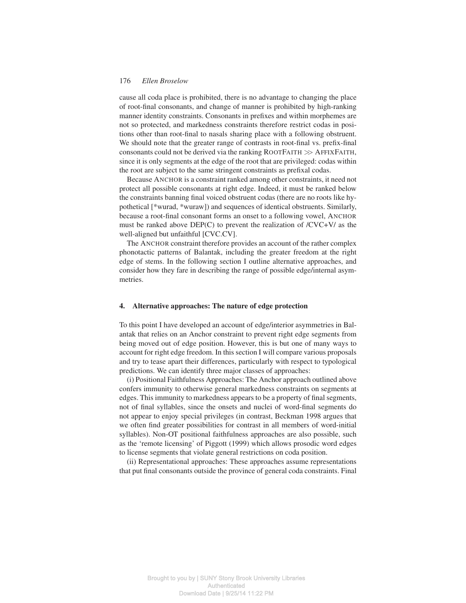cause all coda place is prohibited, there is no advantage to changing the place of root-final consonants, and change of manner is prohibited by high-ranking manner identity constraints. Consonants in prefixes and within morphemes are not so protected, and markedness constraints therefore restrict codas in positions other than root-final to nasals sharing place with a following obstruent. We should note that the greater range of contrasts in root-final vs. prefix-final consonants could not be derived via the ranking  $\text{ROOTFAITH} \gg \text{AFFIXFAITH}$ , since it is only segments at the edge of the root that are privileged: codas within the root are subject to the same stringent constraints as prefixal codas.

Because ANCHOR is a constraint ranked among other constraints, it need not protect all possible consonants at right edge. Indeed, it must be ranked below the constraints banning final voiced obstruent codas (there are no roots like hypothetical [\*wurad, \*wuraw]) and sequences of identical obstruents. Similarly, because a root-final consonant forms an onset to a following vowel, ANCHOR must be ranked above DEP(C) to prevent the realization of /CVC+V/ as the well-aligned but unfaithful [CVC.CV].

The ANCHOR constraint therefore provides an account of the rather complex phonotactic patterns of Balantak, including the greater freedom at the right edge of stems. In the following section I outline alternative approaches, and consider how they fare in describing the range of possible edge/internal asymmetries.

### **4. Alternative approaches: The nature of edge protection**

To this point I have developed an account of edge/interior asymmetries in Balantak that relies on an Anchor constraint to prevent right edge segments from being moved out of edge position. However, this is but one of many ways to account for right edge freedom. In this section I will compare various proposals and try to tease apart their differences, particularly with respect to typological predictions. We can identify three major classes of approaches:

(i) Positional Faithfulness Approaches: The Anchor approach outlined above confers immunity to otherwise general markedness constraints on segments at edges. This immunity to markedness appears to be a property of final segments, not of final syllables, since the onsets and nuclei of word-final segments do not appear to enjoy special privileges (in contrast, Beckman 1998 argues that we often find greater possibilities for contrast in all members of word-initial syllables). Non-OT positional faithfulness approaches are also possible, such as the 'remote licensing' of Piggott (1999) which allows prosodic word edges to license segments that violate general restrictions on coda position.

(ii) Representational approaches: These approaches assume representations that put final consonants outside the province of general coda constraints. Final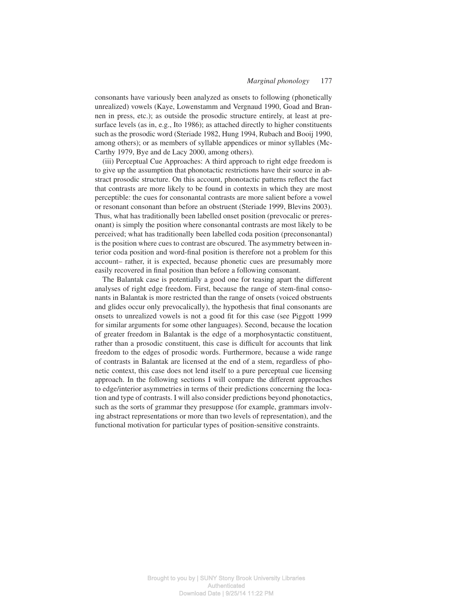consonants have variously been analyzed as onsets to following (phonetically unrealized) vowels (Kaye, Lowenstamm and Vergnaud 1990, Goad and Brannen in press, etc.); as outside the prosodic structure entirely, at least at presurface levels (as in, e.g., Ito 1986); as attached directly to higher constituents such as the prosodic word (Steriade 1982, Hung 1994, Rubach and Booij 1990, among others); or as members of syllable appendices or minor syllables (Mc-Carthy 1979, Bye and de Lacy 2000, among others).

(iii) Perceptual Cue Approaches: A third approach to right edge freedom is to give up the assumption that phonotactic restrictions have their source in abstract prosodic structure. On this account, phonotactic patterns reflect the fact that contrasts are more likely to be found in contexts in which they are most perceptible: the cues for consonantal contrasts are more salient before a vowel or resonant consonant than before an obstruent (Steriade 1999, Blevins 2003). Thus, what has traditionally been labelled onset position (prevocalic or preresonant) is simply the position where consonantal contrasts are most likely to be perceived; what has traditionally been labelled coda position (preconsonantal) is the position where cues to contrast are obscured. The asymmetry between interior coda position and word-final position is therefore not a problem for this account– rather, it is expected, because phonetic cues are presumably more easily recovered in final position than before a following consonant.

The Balantak case is potentially a good one for teasing apart the different analyses of right edge freedom. First, because the range of stem-final consonants in Balantak is more restricted than the range of onsets (voiced obstruents and glides occur only prevocalically), the hypothesis that final consonants are onsets to unrealized vowels is not a good fit for this case (see Piggott 1999 for similar arguments for some other languages). Second, because the location of greater freedom in Balantak is the edge of a morphosyntactic constituent, rather than a prosodic constituent, this case is difficult for accounts that link freedom to the edges of prosodic words. Furthermore, because a wide range of contrasts in Balantak are licensed at the end of a stem, regardless of phonetic context, this case does not lend itself to a pure perceptual cue licensing approach. In the following sections I will compare the different approaches to edge/interior asymmetries in terms of their predictions concerning the location and type of contrasts. I will also consider predictions beyond phonotactics, such as the sorts of grammar they presuppose (for example, grammars involving abstract representations or more than two levels of representation), and the functional motivation for particular types of position-sensitive constraints.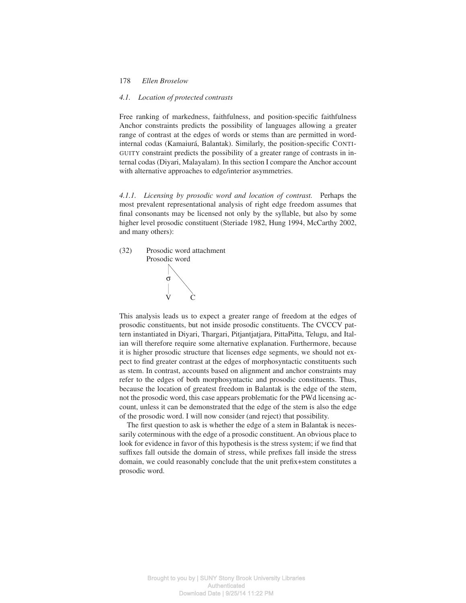#### *4.1. Location of protected contrasts*

Free ranking of markedness, faithfulness, and position-specific faithfulness Anchor constraints predicts the possibility of languages allowing a greater range of contrast at the edges of words or stems than are permitted in wordinternal codas (Kamaiurá, Balantak). Similarly, the position-specific CONTI-GUITY constraint predicts the possibility of a greater range of contrasts in internal codas (Diyari, Malayalam). In this section I compare the Anchor account with alternative approaches to edge/interior asymmetries.

*4.1.1. Licensing by prosodic word and location of contrast.* Perhaps the most prevalent representational analysis of right edge freedom assumes that final consonants may be licensed not only by the syllable, but also by some higher level prosodic constituent (Steriade 1982, Hung 1994, McCarthy 2002, and many others):



This analysis leads us to expect a greater range of freedom at the edges of prosodic constituents, but not inside prosodic constituents. The CVCCV pattern instantiated in Diyari, Thargari, Pitjantjatjara, PittaPitta, Telugu, and Italian will therefore require some alternative explanation. Furthermore, because it is higher prosodic structure that licenses edge segments, we should not expect to find greater contrast at the edges of morphosyntactic constituents such as stem. In contrast, accounts based on alignment and anchor constraints may refer to the edges of both morphosyntactic and prosodic constituents. Thus, because the location of greatest freedom in Balantak is the edge of the stem, not the prosodic word, this case appears problematic for the PWd licensing account, unless it can be demonstrated that the edge of the stem is also the edge of the prosodic word. I will now consider (and reject) that possibility.

The first question to ask is whether the edge of a stem in Balantak is necessarily coterminous with the edge of a prosodic constituent. An obvious place to look for evidence in favor of this hypothesis is the stress system; if we find that suffixes fall outside the domain of stress, while prefixes fall inside the stress domain, we could reasonably conclude that the unit prefix+stem constitutes a prosodic word.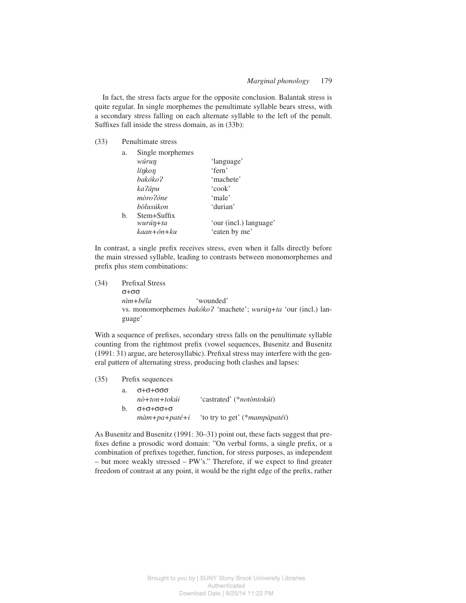In fact, the stress facts argue for the opposite conclusion. Balantak stress is quite regular. In single morphemes the penultimate syllable bears stress, with a secondary stress falling on each alternate syllable to the left of the penult. Suffixes fall inside the stress domain, as in (33b):

(33) Penultimate stress

| a. | Single morphemes |                        |
|----|------------------|------------------------|
|    | wúruŋ            | 'language'             |
|    | línkon           | 'fern'                 |
|    | bakóko?          | 'machete'              |
|    | ka?ápu           | 'cook'                 |
|    | mòro ?óne        | 'male'                 |
|    | bòlusúkon        | 'durian'               |
| b. | Stem+Suffix      |                        |
|    | wurún+ta         | 'our (incl.) language' |
|    | kaan+ón+ku       | 'eaten by me'          |

In contrast, a single prefix receives stress, even when it falls directly before the main stressed syllable, leading to contrasts between monomorphemes and prefix plus stem combinations:

(34) Prefixal Stress σ+σσ *nìm+béla* 'wounded' vs. monomorphemes *bakóko?* 'machete'; *wurún+ta* 'our (incl.) language'

With a sequence of prefixes, secondary stress falls on the penultimate syllable counting from the rightmost prefix (vowel sequences, Busenitz and Busenitz (1991: 31) argue, are heterosyllabic). Prefixal stress may interfere with the general pattern of alternating stress, producing both clashes and lapses:

(35) Prefix sequences

| а. | $\sigma$ + $\sigma$ + $\sigma$ $\sigma$ |                                        |
|----|-----------------------------------------|----------------------------------------|
|    | $n\delta$ +ton+tokúi                    | 'castrated' (* <i>notòntokúi</i> )     |
| b. | $0+0+00+0$                              |                                        |
|    | $m\grave{a}m+p\acute{a}+pat\acute{e}+i$ | 'to try to get' (* <i>mampàpatéi</i> ) |

As Busenitz and Busenitz (1991: 30–31) point out, these facts suggest that prefixes define a prosodic word domain: "On verbal forms, a single prefix, or a combination of prefixes together, function, for stress purposes, as independent – but more weakly stressed – PW's." Therefore, if we expect to find greater freedom of contrast at any point, it would be the right edge of the prefix, rather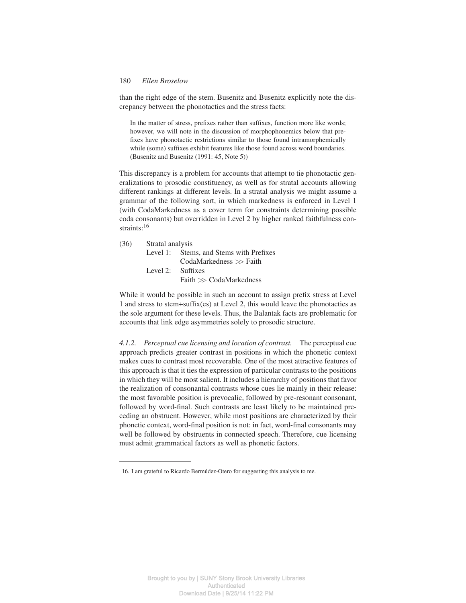than the right edge of the stem. Busenitz and Busenitz explicitly note the discrepancy between the phonotactics and the stress facts:

In the matter of stress, prefixes rather than suffixes, function more like words; however, we will note in the discussion of morphophonemics below that prefixes have phonotactic restrictions similar to those found intramorphemically while (some) suffixes exhibit features like those found across word boundaries. (Busenitz and Busenitz (1991: 45, Note 5))

This discrepancy is a problem for accounts that attempt to tie phonotactic generalizations to prosodic constituency, as well as for stratal accounts allowing different rankings at different levels. In a stratal analysis we might assume a grammar of the following sort, in which markedness is enforced in Level 1 (with CodaMarkedness as a cover term for constraints determining possible coda consonants) but overridden in Level 2 by higher ranked faithfulness constraints:<sup>16</sup>

| (36) | Stratal analysis |                                          |  |  |
|------|------------------|------------------------------------------|--|--|
|      |                  | Level 1: Stems, and Stems with Prefixes  |  |  |
|      |                  | $\text{CodaMarkedness} \gg \text{Faith}$ |  |  |
|      |                  | Level 2: Suffixes                        |  |  |
|      |                  | Faith $\gg$ CodaMarkedness               |  |  |

While it would be possible in such an account to assign prefix stress at Level 1 and stress to stem+suffix(es) at Level 2, this would leave the phonotactics as the sole argument for these levels. Thus, the Balantak facts are problematic for accounts that link edge asymmetries solely to prosodic structure.

*4.1.2. Perceptual cue licensing and location of contrast.* The perceptual cue approach predicts greater contrast in positions in which the phonetic context makes cues to contrast most recoverable. One of the most attractive features of this approach is that it ties the expression of particular contrasts to the positions in which they will be most salient. It includes a hierarchy of positions that favor the realization of consonantal contrasts whose cues lie mainly in their release: the most favorable position is prevocalic, followed by pre-resonant consonant, followed by word-final. Such contrasts are least likely to be maintained preceding an obstruent. However, while most positions are characterized by their phonetic context, word-final position is not: in fact, word-final consonants may well be followed by obstruents in connected speech. Therefore, cue licensing must admit grammatical factors as well as phonetic factors.

<sup>16.</sup> I am grateful to Ricardo Bermúdez-Otero for suggesting this analysis to me.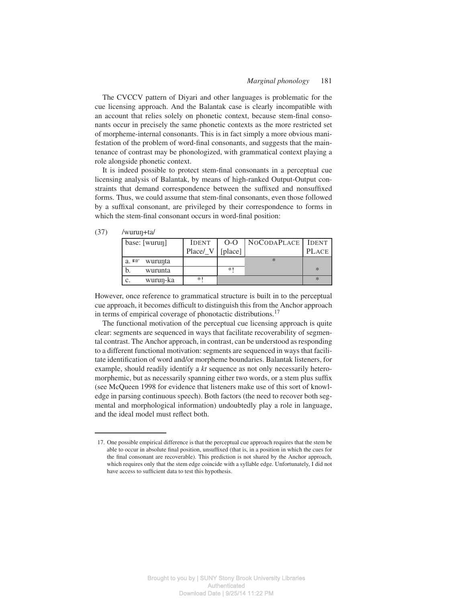The CVCCV pattern of Diyari and other languages is problematic for the cue licensing approach. And the Balantak case is clearly incompatible with an account that relies solely on phonetic context, because stem-final consonants occur in precisely the same phonetic contexts as the more restricted set of morpheme-internal consonants. This is in fact simply a more obvious manifestation of the problem of word-final consonants, and suggests that the maintenance of contrast may be phonologized, with grammatical context playing a role alongside phonetic context.

It is indeed possible to protect stem-final consonants in a perceptual cue licensing analysis of Balantak, by means of high-ranked Output-Output constraints that demand correspondence between the suffixed and nonsuffixed forms. Thus, we could assume that stem-final consonants, even those followed by a suffixal consonant, are privileged by their correspondence to forms in which the stem-final consonant occurs in word-final position:

| . <b>. .</b>  |          |              |         |             |              |
|---------------|----------|--------------|---------|-------------|--------------|
| base: [wurun] |          | <b>IDENT</b> | $O-O$   | NOCODAPLACE | <b>IDENT</b> |
|               |          | $Place/_V$   | [place] |             | <b>PLACE</b> |
| a.            | wurunta  |              |         | $\ast$      |              |
| b.            | wurunta  |              | $*1$    |             | $\ast$       |
| c.            | wurun-ka | $*1$         |         |             | $\ast$       |

 $(37)$  /wurun+ta/

However, once reference to grammatical structure is built in to the perceptual cue approach, it becomes difficult to distinguish this from the Anchor approach in terms of empirical coverage of phonotactic distributions.<sup>17</sup>

The functional motivation of the perceptual cue licensing approach is quite clear: segments are sequenced in ways that facilitate recoverability of segmental contrast. The Anchor approach, in contrast, can be understood as responding to a different functional motivation: segments are sequenced in ways that facilitate identification of word and/or morpheme boundaries. Balantak listeners, for example, should readily identify a *kt* sequence as not only necessarily heteromorphemic, but as necessarily spanning either two words, or a stem plus suffix (see McQueen 1998 for evidence that listeners make use of this sort of knowledge in parsing continuous speech). Both factors (the need to recover both segmental and morphological information) undoubtedly play a role in language, and the ideal model must reflect both.

<sup>17.</sup> One possible empirical difference is that the perceptual cue approach requires that the stem be able to occur in absolute final position, unsuffixed (that is, in a position in which the cues for the final consonant are recoverable). This prediction is not shared by the Anchor approach, which requires only that the stem edge coincide with a syllable edge. Unfortunately, I did not have access to sufficient data to test this hypothesis.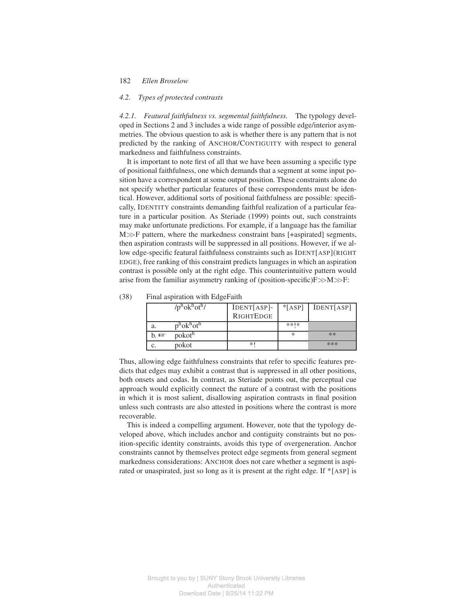#### *4.2. Types of protected contrasts*

*4.2.1. Featural faithfulness vs. segmental faithfulness.* The typology developed in Sections 2 and 3 includes a wide range of possible edge/interior asymmetries. The obvious question to ask is whether there is any pattern that is not predicted by the ranking of ANCHOR/CONTIGUITY with respect to general markedness and faithfulness constraints.

It is important to note first of all that we have been assuming a specific type of positional faithfulness, one which demands that a segment at some input position have a correspondent at some output position. These constraints alone do not specify whether particular features of these correspondents must be identical. However, additional sorts of positional faithfulness are possible: specifically, IDENTITY constraints demanding faithful realization of a particular feature in a particular position. As Steriade (1999) points out, such constraints may make unfortunate predictions. For example, if a language has the familiar M>>F pattern, where the markedness constraint bans [+aspirated] segments, then aspiration contrasts will be suppressed in all positions. However, if we allow edge-specific featural faithfulness constraints such as IDENT[ASP](RIGHT EDGE), free ranking of this constraint predicts languages in which an aspiration contrast is possible only at the right edge. This counterintuitive pattern would arise from the familiar asymmetry ranking of (position-specific) $F \gg M \gg F$ :

|                               | /p <sup>h</sup> ok <sup>n</sup> ot <sup>h</sup> / | $IDENT[ASP]$ - | $*$ [ASP] | IDENT[ASP] |
|-------------------------------|---------------------------------------------------|----------------|-----------|------------|
|                               |                                                   | RIGHTEDGE      |           |            |
| a.                            | $p^{n}$ ok <sup>n</sup> ot <sup>n</sup>           |                | **!*      |            |
| $\mathbf{b}$ . $\mathbb{R}^n$ | pokot <sup>n</sup>                                |                | ∗         | **         |
|                               | pokot                                             | *1             |           | ***        |

(38) Final aspiration with EdgeFaith

Thus, allowing edge faithfulness constraints that refer to specific features predicts that edges may exhibit a contrast that is suppressed in all other positions, both onsets and codas. In contrast, as Steriade points out, the perceptual cue approach would explicitly connect the nature of a contrast with the positions in which it is most salient, disallowing aspiration contrasts in final position unless such contrasts are also attested in positions where the contrast is more recoverable.

This is indeed a compelling argument. However, note that the typology developed above, which includes anchor and contiguity constraints but no position-specific identity constraints, avoids this type of overgeneration. Anchor constraints cannot by themselves protect edge segments from general segment markedness considerations: ANCHOR does not care whether a segment is aspirated or unaspirated, just so long as it is present at the right edge. If \*[ASP] is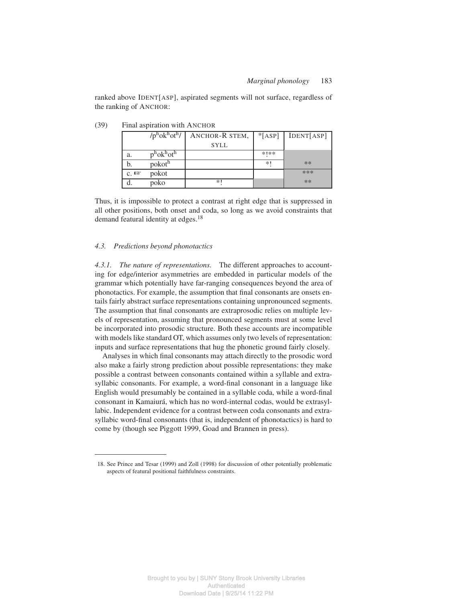ranked above IDENT[ASP], aspirated segments will not surface, regardless of the ranking of ANCHOR:

|                   | $\sqrt{p^h \circ k^h}$ ot <sup>h</sup> /     | ANCHOR-R STEM, | $*$ [ASP] | IDENT[ASP] |
|-------------------|----------------------------------------------|----------------|-----------|------------|
|                   |                                              | <b>SYLL</b>    |           |            |
| a.                | <sup>h</sup> ok <sup>h</sup> ot <sup>h</sup> |                | ***       |            |
| b.                | pokot <sup>h</sup>                           |                | $*1$      | **         |
| $C. \n\mathbb{R}$ | pokot                                        |                |           | ***        |
|                   | poko                                         | $*1$           |           | **         |

(39) Final aspiration with ANCHOR

Thus, it is impossible to protect a contrast at right edge that is suppressed in all other positions, both onset and coda, so long as we avoid constraints that demand featural identity at edges.<sup>18</sup>

### *4.3. Predictions beyond phonotactics*

*4.3.1. The nature of representations.* The different approaches to accounting for edge/interior asymmetries are embedded in particular models of the grammar which potentially have far-ranging consequences beyond the area of phonotactics. For example, the assumption that final consonants are onsets entails fairly abstract surface representations containing unpronounced segments. The assumption that final consonants are extraprosodic relies on multiple levels of representation, assuming that pronounced segments must at some level be incorporated into prosodic structure. Both these accounts are incompatible with models like standard OT, which assumes only two levels of representation: inputs and surface representations that hug the phonetic ground fairly closely.

Analyses in which final consonants may attach directly to the prosodic word also make a fairly strong prediction about possible representations: they make possible a contrast between consonants contained within a syllable and extrasyllabic consonants. For example, a word-final consonant in a language like English would presumably be contained in a syllable coda, while a word-final consonant in Kamaiurá, which has no word-internal codas, would be extrasyllabic. Independent evidence for a contrast between coda consonants and extrasyllabic word-final consonants (that is, independent of phonotactics) is hard to come by (though see Piggott 1999, Goad and Brannen in press).

<sup>18.</sup> See Prince and Tesar (1999) and Zoll (1998) for discussion of other potentially problematic aspects of featural positional faithfulness constraints.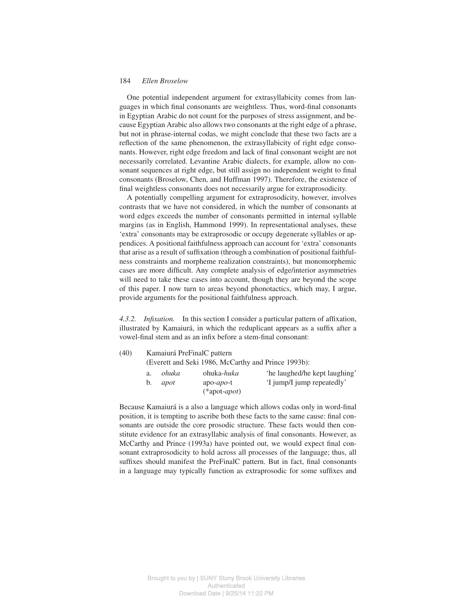One potential independent argument for extrasyllabicity comes from languages in which final consonants are weightless. Thus, word-final consonants in Egyptian Arabic do not count for the purposes of stress assignment, and because Egyptian Arabic also allows two consonants at the right edge of a phrase, but not in phrase-internal codas, we might conclude that these two facts are a reflection of the same phenomenon, the extrasyllabicity of right edge consonants. However, right edge freedom and lack of final consonant weight are not necessarily correlated. Levantine Arabic dialects, for example, allow no consonant sequences at right edge, but still assign no independent weight to final consonants (Broselow, Chen, and Huffman 1997). Therefore, the existence of final weightless consonants does not necessarily argue for extraprosodicity.

A potentially compelling argument for extraprosodicity, however, involves contrasts that we have not considered, in which the number of consonants at word edges exceeds the number of consonants permitted in internal syllable margins (as in English, Hammond 1999). In representational analyses, these 'extra' consonants may be extraprosodic or occupy degenerate syllables or appendices. A positional faithfulness approach can account for 'extra' consonants that arise as a result of suffixation (through a combination of positional faithfulness constraints and morpheme realization constraints), but monomorphemic cases are more difficult. Any complete analysis of edge/interior asymmetries will need to take these cases into account, though they are beyond the scope of this paper. I now turn to areas beyond phonotactics, which may, I argue, provide arguments for the positional faithfulness approach.

*4.3.2. Infixation.* In this section I consider a particular pattern of affixation, illustrated by Kamaiurá, in which the reduplicant appears as a suffix after a vowel-final stem and as an infix before a stem-final consonant:

| (40) |    | Kamaiurá PreFinalC pattern |                                                     |                               |  |  |
|------|----|----------------------------|-----------------------------------------------------|-------------------------------|--|--|
|      |    |                            | (Everett and Seki 1986, McCarthy and Prince 1993b): |                               |  |  |
|      | a. | ohuka                      | ohuka- <i>huka</i>                                  | 'he laughed/he kept laughing' |  |  |
|      | b. | apot                       | $apo-apo-t$                                         | 'I jump/I jump repeatedly'    |  |  |
|      |    |                            | $(*apot-apot)$                                      |                               |  |  |

Because Kamaiurá is a also a language which allows codas only in word-final position, it is tempting to ascribe both these facts to the same cause: final consonants are outside the core prosodic structure. These facts would then constitute evidence for an extrasyllabic analysis of final consonants. However, as McCarthy and Prince (1993a) have pointed out, we would expect final consonant extraprosodicity to hold across all processes of the language; thus, all suffixes should manifest the PreFinalC pattern. But in fact, final consonants in a language may typically function as extraprosodic for some suffixes and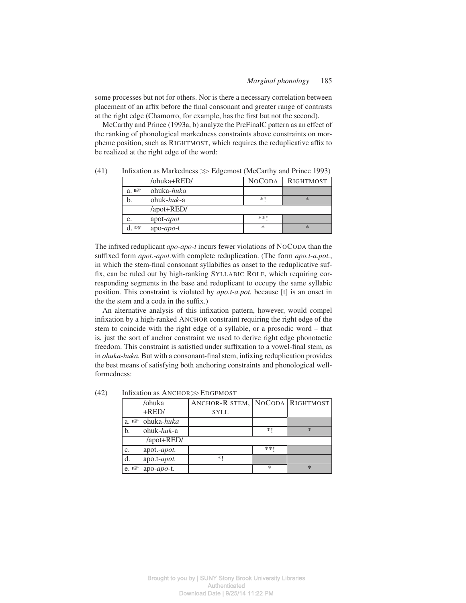some processes but not for others. Nor is there a necessary correlation between placement of an affix before the final consonant and greater range of contrasts at the right edge (Chamorro, for example, has the first but not the second).

McCarthy and Prince (1993a, b) analyze the PreFinalC pattern as an effect of the ranking of phonological markedness constraints above constraints on morpheme position, such as RIGHTMOST, which requires the reduplicative affix to be realized at the right edge of the word:

|                  | /ohuka+RED/         | <b>NOCODA</b> | <b>RIGHTMOST</b> |
|------------------|---------------------|---------------|------------------|
| $a \n\mathbb{R}$ | ohuka- <i>huka</i>  |               |                  |
| b.               | ohuk- <i>huk</i> -a | $*1$          | $\ast$           |
|                  | /apot+RED/          |               |                  |
| c.               | apot- <i>apot</i>   | **!           |                  |
| d. ⊠ଟ            | apo-apo-t           | $\ast$        | $\ast$           |

(41) Infixation as Markedness  $\gg$  Edgemost (McCarthy and Prince 1993)

The infixed reduplicant *apo-apo-t* incurs fewer violations of NOCODA than the suffixed form *apot.-apot.*with complete reduplication. (The form *apo.t-a.pot.*, in which the stem-final consonant syllabifies as onset to the reduplicative suffix, can be ruled out by high-ranking SYLLABIC ROLE, which requiring corresponding segments in the base and reduplicant to occupy the same syllabic position. This constraint is violated by *apo.t-a.pot.* because [t] is an onset in the the stem and a coda in the suffix.)

An alternative analysis of this infixation pattern, however, would compel infixation by a high-ranked ANCHOR constraint requiring the right edge of the stem to coincide with the right edge of a syllable, or a prosodic word – that is, just the sort of anchor constraint we used to derive right edge phonotactic freedom. This constraint is satisfied under suffixation to a vowel-final stem, as in *ohuka-huka.* But with a consonant-final stem, infixing reduplication provides the best means of satisfying both anchoring constraints and phonological wellformedness:

|    | /ohuka       | ANCHOR-R STEM, NOCODA RIGHTMOST |     |        |
|----|--------------|---------------------------------|-----|--------|
|    | $+RED/$      | <b>SYLL</b>                     |     |        |
| a. | ohuka-huka   |                                 |     |        |
| b. | $ohuk-huk-a$ |                                 | *1  | $\ast$ |
|    | /apot+RED/   |                                 |     |        |
| c. | apot.-apot.  |                                 | **! |        |
| d. | apo.t-apot.  | *1                              |     |        |
| e. | apo-apo-t.   |                                 | *   | $\ast$ |

#### (42) Infixation as ANCHOR>>EDGEMOST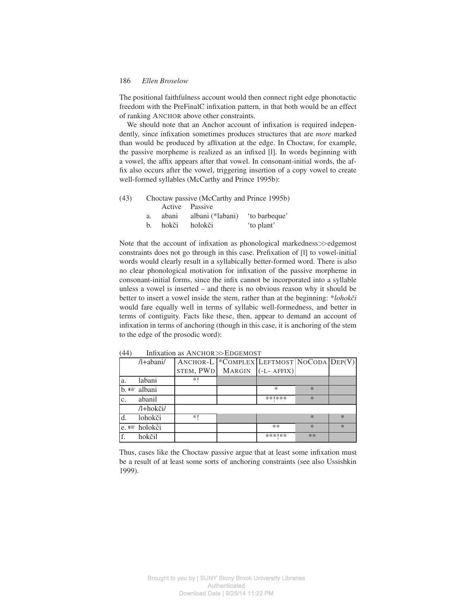The positional faithfulness account would then connect right edge phonotactic freedom with the PreFinalC infixation pattern, in that both would be an effect of ranking ANCHOR above other constraints.

We should note that an Anchor account of infixation is required independently, since infixation sometimes produces structures that are *more* marked than would be produced by affixation at the edge. In Choctaw, for example, the passive morpheme is realized as an infixed [l]. In words beginning with a vowel, the affix appears after that vowel. In consonant-initial words, the affix also occurs after the vowel, triggering insertion of a copy vowel to create well-formed syllables (McCarthy and Prince 1995b):

(43) Choctaw passive (McCarthy and Prince 1995b)

- a. abani albani (\*labani) 'to barbeque'
- b. hokči holok či  $\qquad$  'to plant'

Note that the account of infixation as phonological markedness  $\gg$ edgemost constraints does not go through in this case. Prefixation of [l] to vowel-initial words would clearly result in a syllabically better-formed word. There is also no clear phonological motivation for infixation of the passive morpheme in consonant-initial forms, since the infix cannot be incorporated into a syllable unless a vowel is inserted – and there is no obvious reason why it should be better to insert a vowel inside the stem, rather than at the beginning: \**lohokˇci* would fare equally well in terms of syllabic well-formedness, and better in terms of contiguity. Facts like these, then, appear to demand an account of infixation in terms of anchoring (though in this case, it is anchoring of the stem to the edge of the prosodic word):

|    | $/l + abani/$                      | ANCHOR-L  *COMPLEX   LEFTMOST   NOCODA   DEP(V) |           |        |        |
|----|------------------------------------|-------------------------------------------------|-----------|--------|--------|
|    |                                    | STEM, $PWD$ MARGIN $ (-L - AFFIX) $             |           |        |        |
| a. | labani                             | $*$                                             |           |        |        |
|    | $\mathbf{b}$ . $\mathbf{w}$ albani |                                                 | $^{\ast}$ | $\ast$ |        |
| c. | abanil                             |                                                 | **!***    | $\ast$ |        |
|    | $/l + h$ okči $/$                  |                                                 |           |        |        |
| d. | lohokči                            | $*$                                             |           | $\ast$ | $\ast$ |
| e. | holokči                            |                                                 | $**$      | $\ast$ | $*$    |
|    | hokčil                             |                                                 | *** **    | **     |        |

(44) Infixation as ANCHOR>>EDGEMOST

Thus, cases like the Choctaw passive argue that at least some infixation must be a result of at least some sorts of anchoring constraints (see also Ussishkin 1999).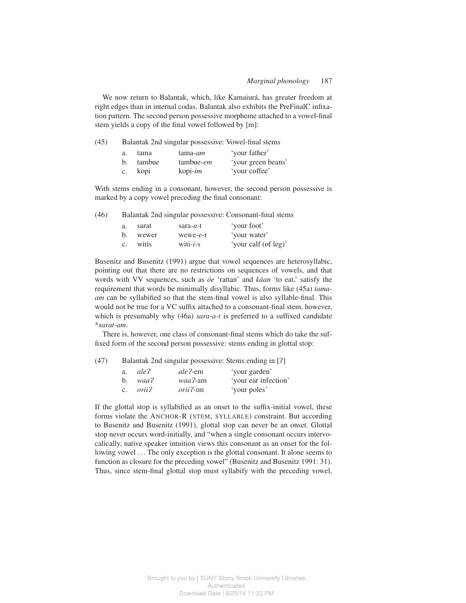We now return to Balantak, which, like Kamaiurá, has greater freedom at right edges than in internal codas. Balantak also exhibits the PreFinalC infixation pattern. The second person possessive morpheme attached to a vowel-final stem yields a copy of the final vowel followed by [m]:

(45) Balantak 2nd singular possessive: Vowel-final stems

| a.          | tama   | tama- <i>am</i>    | 'your father'      |
|-------------|--------|--------------------|--------------------|
| b.          | tambue | tambue- <i>em</i>  | 'your green beans' |
| $c_{\cdot}$ | kopi   | $k$ opi- <i>im</i> | 'your coffee'      |

With stems ending in a consonant, however, the second person possessive is marked by a copy vowel preceding the final consonant:

(46) Balantak 2nd singular possessive: Consonant-final stems

| a. | sarat | sara- <i>a</i> -t | 'your foot'          |
|----|-------|-------------------|----------------------|
| b. | wewer | $wewe-e-r$        | 'your water'         |
| C. | witis | witi- $i$ -s      | 'your calf (of leg)' |

Busenitz and Busenitz (1991) argue that vowel sequences are heterosyllabic, pointing out that there are no restrictions on sequences of vowels, and that words with VV sequences, such as *óe* 'rattan' and *káan* 'to eat,' satisfy the requirement that words be minimally disyllabic. Thus, forms like (45a) *tamaam* can be syllabified so that the stem-final vowel is also syllable-final. This would not be true for a VC suffix attached to a consonant-final stem, however, which is presumably why (46a) *sara-a-t* is preferred to a suffixed candidate \**sarat-am*.

There is, however, one class of consonant-final stems which do take the suffixed form of the second person possessive: stems ending in glottal stop:

(47) Balantak 2nd singular possessive: Stems ending in [P]

| a.             | ale?  | ale?-em         | 'your garden'        |
|----------------|-------|-----------------|----------------------|
| b.             | waa?  | <i>waa</i> ?-am | 'your ear infection' |
| C <sub>1</sub> | orii? | $orii$ ?-im     | 'your poles'         |

If the glottal stop is syllabified as an onset to the suffix-initial vowel, these forms violate the ANCHOR-R (STEM, SYLLABLE) constraint. But according to Busenitz and Busenitz (1991), glottal stop can never be an onset. Glottal stop never occurs word-initially, and "when a single consonant occurs intervocalically, native speaker intuition views this consonant as an onset for the following vowel ... The only exception is the glottal consonant. It alone seems to function as closure for the preceding vowel" (Busenitz and Busenitz 1991: 31). Thus, since stem-final glottal stop must syllabify with the preceding vowel,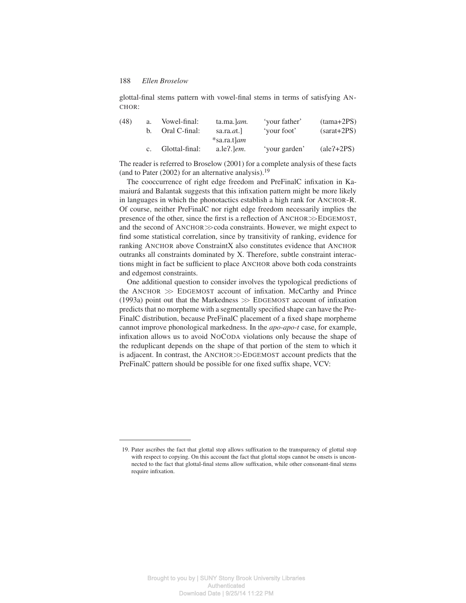glottal-final stems pattern with vowel-final stems in terms of satisfying AN-CHOR:

| (48) | a.          | Vowel-final:   | $tan.$ $lam.$         | 'your father' | $(tama+2PS)$  |
|------|-------------|----------------|-----------------------|---------------|---------------|
|      | $h_{-}$     | Oral C-final:  | sa. $ra.at.$          | 'your foot'   | $(sarat+2PS)$ |
|      |             |                | *sa.ra.t]am           |               |               |
|      | $c_{\cdot}$ | Glottal-final: | a.le?. $]$ <i>em.</i> | 'your garden' | $(ale?+2PS)$  |

The reader is referred to Broselow (2001) for a complete analysis of these facts (and to Pater  $(2002)$  for an alternative analysis).<sup>19</sup>

The cooccurrence of right edge freedom and PreFinalC infixation in Kamaiurá and Balantak suggests that this infixation pattern might be more likely in languages in which the phonotactics establish a high rank for ANCHOR-R. Of course, neither PreFinalC nor right edge freedom necessarily implies the presence of the other, since the first is a reflection of ANCHOR>>EDGEMOST, and the second of ANCHOR $\gg$ coda constraints. However, we might expect to find some statistical correlation, since by transitivity of ranking, evidence for ranking ANCHOR above ConstraintX also constitutes evidence that ANCHOR outranks all constraints dominated by X. Therefore, subtle constraint interactions might in fact be sufficient to place ANCHOR above both coda constraints and edgemost constraints.

One additional question to consider involves the typological predictions of the ANCHOR  $\gg$  EDGEMOST account of infixation. McCarthy and Prince (1993a) point out that the Markedness  $\gg$  EDGEMOST account of infixation predicts that no morpheme with a segmentally specified shape can have the Pre-FinalC distribution, because PreFinalC placement of a fixed shape morpheme cannot improve phonological markedness. In the *apo-apo-t* case, for example, infixation allows us to avoid NOCODA violations only because the shape of the reduplicant depends on the shape of that portion of the stem to which it is adjacent. In contrast, the ANCHOR $\gg$ EDGEMOST account predicts that the PreFinalC pattern should be possible for one fixed suffix shape, VCV:

<sup>19.</sup> Pater ascribes the fact that glottal stop allows suffixation to the transparency of glottal stop with respect to copying. On this account the fact that glottal stops cannot be onsets is unconnected to the fact that glottal-final stems allow suffixation, while other consonant-final stems require infixation.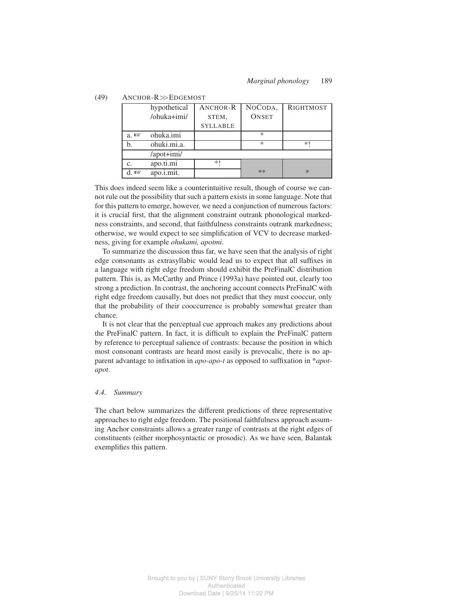|                  | hypothetical | <b>ANCHOR-R</b> | NOCODA,      | RIGHTMOST |
|------------------|--------------|-----------------|--------------|-----------|
|                  | /ohuka+imi/  | STEM.           | <b>ONSET</b> |           |
|                  |              | <b>SYLLABLE</b> |              |           |
| $a \n\mathbb{R}$ | ohuka.imi    |                 | $\ast$       |           |
| b.               | ohuki.mi.a.  |                 | $\ast$       | *1        |
|                  | /apot+imi/   |                 |              |           |
| c.               | apo.ti.mi    | *1              |              |           |
| ժ. ns            | apo.i.mit.   |                 | **           | $\ast$    |

(49) ANCHOR-R>>EDGEMOST

This does indeed seem like a counterintuitive result, though of course we cannot rule out the possibility that such a pattern exists in some language. Note that for this pattern to emerge, however, we need a conjunction of numerous factors: it is crucial first, that the alignment constraint outrank phonological markedness constraints, and second, that faithfulness constraints outrank markedness; otherwise, we would expect to see simplification of VCV to decrease markedness, giving for example *ohukami, apotmi*.

To summarize the discussion thus far, we have seen that the analysis of right edge consonants as extrasyllabic would lead us to expect that all suffixes in a language with right edge freedom should exhibit the PreFinalC distribution pattern. This is, as McCarthy and Prince (1993a) have pointed out, clearly too strong a prediction. In contrast, the anchoring account connects PreFinalC with right edge freedom causally, but does not predict that they must cooccur, only that the probability of their cooccurrence is probably somewhat greater than chance.

It is not clear that the perceptual cue approach makes any predictions about the PreFinalC pattern. In fact, it is difficult to explain the PreFinalC pattern by reference to perceptual salience of contrasts: because the position in which most consonant contrasts are heard most easily is prevocalic, there is no apparent advantage to infixation in *apo-apo-t* as opposed to suffixation in \**apotapot*.

## *4.4. Summary*

The chart below summarizes the different predictions of three representative approaches to right edge freedom. The positional faithfulness approach assuming Anchor constraints allows a greater range of contrasts at the right edges of constituents (either morphosyntactic or prosodic). As we have seen, Balantak exemplifies this pattern.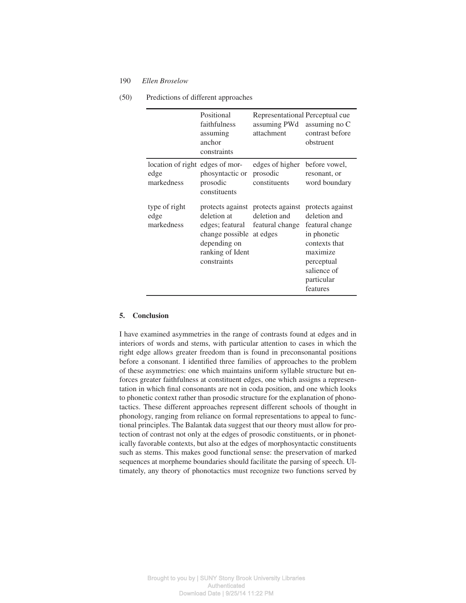(50) Predictions of different approaches

|                                                       | Positional<br>faithfulness<br>assuming<br>anchor<br>constraints                                                                                                    | Representational Perceptual cue<br>assuming PWd<br>attachment | assuming no C<br>contrast before<br>obstruent                                                                                                          |
|-------------------------------------------------------|--------------------------------------------------------------------------------------------------------------------------------------------------------------------|---------------------------------------------------------------|--------------------------------------------------------------------------------------------------------------------------------------------------------|
| location of right edges of mor-<br>edge<br>markedness | phosyntactic or<br>prosodic<br>constituents                                                                                                                        | edges of higher<br>prosodic<br>constituents                   | before vowel,<br>resonant, or<br>word boundary                                                                                                         |
| type of right<br>edge<br>markedness                   | protects against protects against<br>deletion at<br>edges; featural featural change<br>change possible at edges<br>depending on<br>ranking of Ident<br>constraints | deletion and                                                  | protects against<br>deletion and<br>featural change<br>in phonetic<br>contexts that<br>maximize<br>perceptual<br>salience of<br>particular<br>features |

### **5. Conclusion**

I have examined asymmetries in the range of contrasts found at edges and in interiors of words and stems, with particular attention to cases in which the right edge allows greater freedom than is found in preconsonantal positions before a consonant. I identified three families of approaches to the problem of these asymmetries: one which maintains uniform syllable structure but enforces greater faithfulness at constituent edges, one which assigns a representation in which final consonants are not in coda position, and one which looks to phonetic context rather than prosodic structure for the explanation of phonotactics. These different approaches represent different schools of thought in phonology, ranging from reliance on formal representations to appeal to functional principles. The Balantak data suggest that our theory must allow for protection of contrast not only at the edges of prosodic constituents, or in phonetically favorable contexts, but also at the edges of morphosyntactic constituents such as stems. This makes good functional sense: the preservation of marked sequences at morpheme boundaries should facilitate the parsing of speech. Ultimately, any theory of phonotactics must recognize two functions served by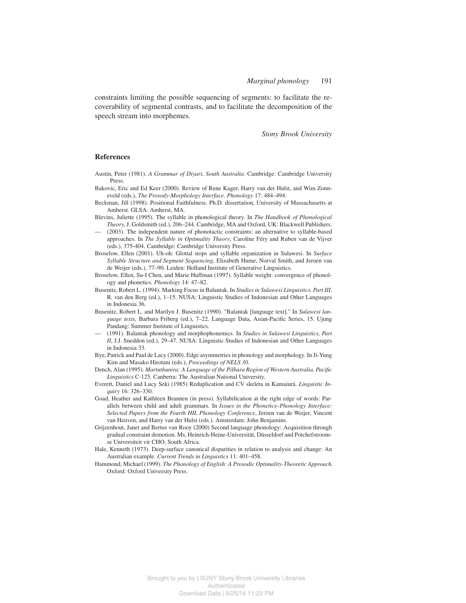constraints limiting the possible sequencing of segments: to facilitate the recoverability of segmental contrasts, and to facilitate the decomposition of the speech stream into morphemes.

*Stony Brook University*

#### **References**

- Austin, Peter (1981). *A Grammar of Diyari, South Australia*. Cambridge: Cambridge University Press.
- Bakovic, Eric and Ed Keer (2000). Review of Rene Kager, Harry van der Hulst, and Wim Zonneveld (eds.), *The Prosody-Morphology Interface*. *Phonology* 17: 484–494.
- Beckman, Jill (1998). Positional Faithfulness. Ph.D. dissertation, University of Massachusetts at Amherst. GLSA: Amherst, MA.
- Blevins, Juliette (1995). The syllable in phonological theory. In *The Handbook of Phonological Theory,* J. Goldsmith (ed.), 206–244. Cambridge, MA and Oxford, UK: Blackwell Publishers.
- (2003). The independent nature of phonotactic constraints: an alternative to syllable-based approaches. In *The Syllable in Optimality Theory*, Caroline Féry and Ruben van de Vijver (eds.), 375-404. Cambridge: Cambridge University Press.
- Broselow, Ellen (2001). Uh-oh: Glottal stops and syllable organization in Sulawesi. In *Surface Syllable Structure and Segment Sequencing*, Elizabeth Hume, Norval Smith, and Jeroen van de Weijer (eds.), 77–90. Leiden: Holland Institute of Generative Linguistics.
- Broselow, Ellen, Su-I Chen, and Marie Huffman (1997). Syllable weight: convergence of phonology and phonetics. *Phonology* 14: 47–82.
- Busenitz, Robert L. (1994). Marking Focus in Balantak. In *Studies in Sulawesi Linguistics, Part III*, R. van den Berg (ed.), 1–15. NUSA: Linguistic Studies of Indonesian and Other Languages in Indonesia 36.
- Busenitz, Robert L. and Marilyn J. Busenitz (1990). "Balantak [language text]." In *Sulawesi language texts,* Barbara Friberg (ed.), 7–22. Language Data, Asian-Pacific Series, 15. Ujung Pandang: Summer Institute of Linguistics.
- (1991). Balantak phonology and morphophonemics. In *Studies in Sulawesi Linguistics, Part II*, J.J. Sneddon (ed.), 29–47. NUSA: Linguistic Studies of Indonesian and Other Languages in Indonesia 33.
- Bye, Patrick and Paul de Lacy (2000). Edge asymmetries in phonology and morphology. In Ji-Yung Kim and Masako Hirotani (eds.), *Proceedings of NELS 30*.
- Dench, Alan (1995). *Martuthunira: A Language of the Pilbara Region of Western Australia. Pacific Linguistics* C-125. Canberra: The Australian National University.
- Everett, Daniel and Lucy Seki (1985) Reduplication and CV skeleta in Kamaiurá. *Linguistic Inquiry* 16: 326–330.
- Goad, Heather and Kathleen Brannen (in press). Syllabification at the right edge of words: Parallels between child and adult grammars. In *Issues in the Phonetics–Phonology Interface: Selected Papers from the Fourth HIL Phonology Conference*, Jeroen van de Weijer, Vincent van Heuven, and Harry van der Hulst (eds.). Amsterdam: John Benjamins.
- Grijzenhout, Janet and Bertus van Rooy (2000) Second language phonology: Acquisition through gradual constraint demotion. Ms, Heinrich-Heine-Universität, Düsseldorf and Potchefstroomse Universiteit vir CHO, South Africa.
- Hale, Kenneth (1973). Deep-surface canonical disparities in relation to analysis and change: An Australian example. *Current Trends in Linguistics* 11: 401–458.
- Hammond, Michael (1999). *The Phonology of English: A Prosodic Optimality-Theoretic Approach.* Oxford: Oxford University Press.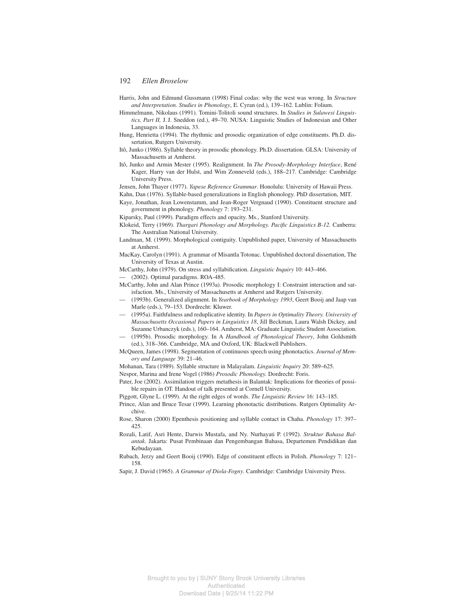- Harris, John and Edmund Gussmann (1998) Final codas: why the west was wrong. In *Structure and Interpretation. Studies in Phonology*, E. Cyran (ed.), 139–162. Lublin: Folium.
- Himmelmann, Nikolaus (1991). Tomini-Tolitoli sound structures. In *Studies in Sulawesi Linguistics, Part II,* J.J. Sneddon (ed.), 49–70. NUSA: Linguistic Studies of Indonesian and Other Languages in Indonesia, 33.
- Hung, Henrietta (1994). The rhythmic and prosodic organization of edge constituents. Ph.D. dissertation, Rutgers University.
- Itô, Junko (1986). Syllable theory in prosodic phonology. Ph.D. dissertation. GLSA: University of Massachusetts at Amherst.
- Itô, Junko and Armin Mester (1995). Realignment. In *The Prosody-Morphology Interface*, René Kager, Harry van der Hulst, and Wim Zonneveld (eds.), 188–217. Cambridge: Cambridge University Press.

Jensen, John Thayer (1977). *Yapese Reference Grammar*. Honolulu: University of Hawaii Press.

Kahn, Dan (1976). Syllable-based generalizations in English phonology. PhD dissertation, MIT. Kaye, Jonathan, Jean Lowenstamm, and Jean-Roger Vergnaud (1990). Constituent structure and

government in phonology. *Phonology* 7: 193–231.

- Kiparsky, Paul (1999). Paradigm effects and opacity. Ms., Stanford University.
- Klokeid, Terry (1969). *Thargari Phonology and Morphology. Pacific Linguistics B-12.* Canberra: The Australian National University.
- Landman, M. (1999). Morphological contiguity. Unpublished paper, University of Massachusetts at Amherst.
- MacKay, Carolyn (1991). A grammar of Misantla Totonac. Unpublished doctoral dissertation, The University of Texas at Austin.

McCarthy, John (1979). On stress and syllabification. *Linguistic Inquiry* 10: 443–466.

— (2002). Optimal paradigms. ROA-485.

- McCarthy, John and Alan Prince (1993a). Prosodic morphology I: Constraint interaction and satisfaction. Ms., University of Massachusetts at Amherst and Rutgers University.
- (1993b). Generalized alignment. In *Yearbook of Morphology 1993*, Geert Booij and Jaap van Marle (eds.), 79–153. Dordrecht: Kluwer.
- (1995a). Faithfulness and reduplicative identity. In *Papers in Optimality Theory. University of Massachusetts Occasional Papers in Linguistics 18*, Jill Beckman, Laura Walsh Dickey, and Suzanne Urbanczyk (eds.), 160–164. Amherst, MA: Graduate Linguistic Student Association.
- (1995b). Prosodic morphology. In A *Handbook of Phonological Theory*, John Goldsmith (ed.), 318–366. Cambridge, MA and Oxford, UK: Blackwell Publishers.
- McQueen, James (1998). Segmentation of continuous speech using phonotactics. *Journal of Memory and Language* 39: 21–46.
- Mohanan, Tara (1989). Syllable structure in Malayalam. *Linguistic Inquiry* 20: 589–625.

Nespor, Marina and Irene Vogel (1986) *Prosodic Phonology.* Dordrecht: Foris.

- Pater, Joe (2002). Assimilation triggers metathesis in Balantak: Implications for theories of possible repairs in OT. Handout of talk presented at Cornell University.
- Piggott, Glyne L. (1999). At the right edges of words. *The Linguistic Review* 16: 143–185.
- Prince, Alan and Bruce Tesar (1999). Learning phonotactic distributions. Rutgers Optimality Archive.
- Rose, Sharon (2000) Epenthesis positioning and syllable contact in Chaha. *Phonology* 17: 397– 425.
- Rozali, Latif, Asri Hente, Darwis Mustafa, and Ny. Nurhayati P. (1992). *Struktur Bahasa Balantak.* Jakarta: Pusat Pembinaan dan Pengembangan Bahasa, Departemen Pendidikan dan Kebudayaan.
- Rubach, Jerzy and Geert Booij (1990). Edge of constituent effects in Polish. *Phonology* 7: 121– 158.

Sapir, J. David (1965). *A Grammar of Diola-Fogny*. Cambridge: Cambridge University Press.